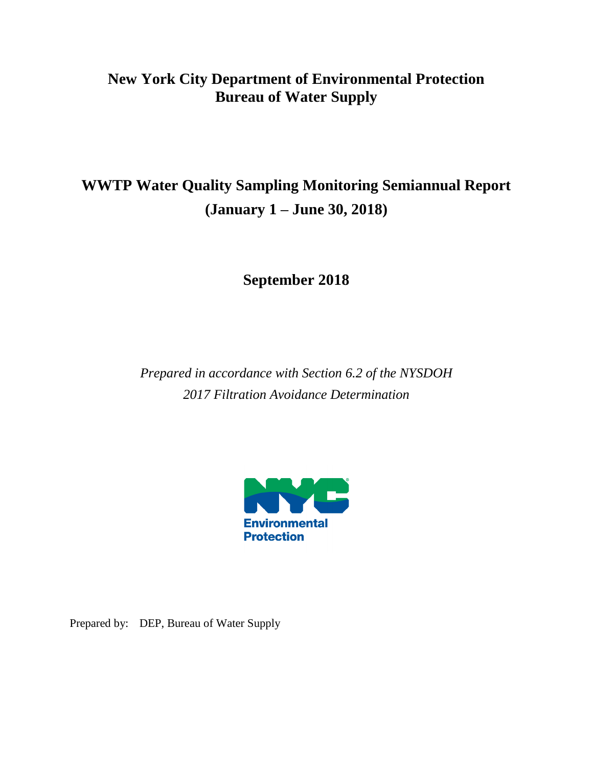### **New York City Department of Environmental Protection Bureau of Water Supply**

## **WWTP Water Quality Sampling Monitoring Semiannual Report (January 1 – June 30, 2018)**

**September 2018**

*Prepared in accordance with Section 6.2 of the NYSDOH 2017 Filtration Avoidance Determination*



Prepared by: DEP, Bureau of Water Supply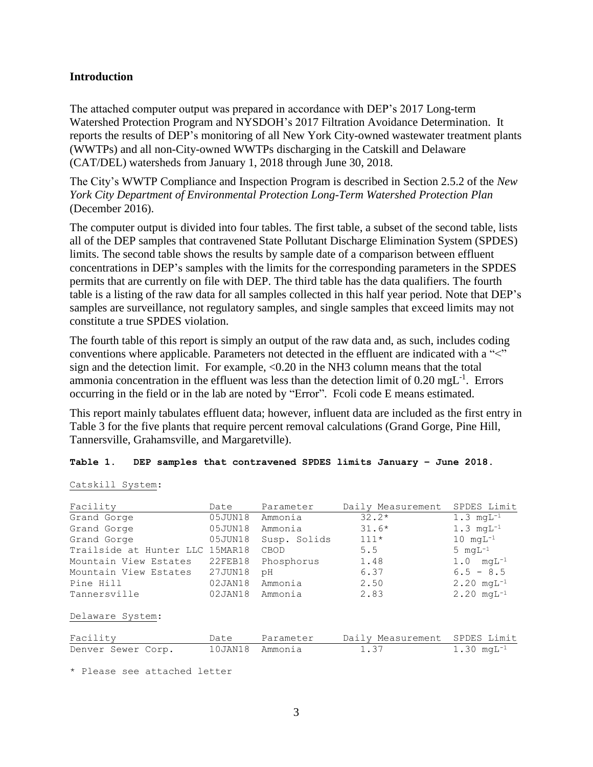#### **Introduction**

The attached computer output was prepared in accordance with DEP's 2017 Long-term Watershed Protection Program and NYSDOH's 2017 Filtration Avoidance Determination. It reports the results of DEP's monitoring of all New York City-owned wastewater treatment plants (WWTPs) and all non-City-owned WWTPs discharging in the Catskill and Delaware (CAT/DEL) watersheds from January 1, 2018 through June 30, 2018.

The City's WWTP Compliance and Inspection Program is described in Section 2.5.2 of the *New York City Department of Environmental Protection Long-Term Watershed Protection Plan* (December 2016).

The computer output is divided into four tables. The first table, a subset of the second table, lists all of the DEP samples that contravened State Pollutant Discharge Elimination System (SPDES) limits. The second table shows the results by sample date of a comparison between effluent concentrations in DEP's samples with the limits for the corresponding parameters in the SPDES permits that are currently on file with DEP. The third table has the data qualifiers. The fourth table is a listing of the raw data for all samples collected in this half year period. Note that DEP's samples are surveillance, not regulatory samples, and single samples that exceed limits may not constitute a true SPDES violation.

The fourth table of this report is simply an output of the raw data and, as such, includes coding conventions where applicable. Parameters not detected in the effluent are indicated with a "<" sign and the detection limit. For example, <0.20 in the NH3 column means that the total ammonia concentration in the effluent was less than the detection limit of  $0.20 \text{ mgL}^{-1}$ . Errors occurring in the field or in the lab are noted by "Error". Fcoli code E means estimated.

This report mainly tabulates effluent data; however, influent data are included as the first entry in Table 3 for the five plants that require percent removal calculations (Grand Gorge, Pine Hill, Tannersville, Grahamsville, and Margaretville).

#### **Table 1. DEP samples that contravened SPDES limits January – June 2018.**

#### Catskill System:

| Facility                        | Date    | Parameter    | Daily Measurement | SPDES Limit                       |
|---------------------------------|---------|--------------|-------------------|-----------------------------------|
| Grand Gorge                     | 05JUN18 | Ammonia      | $32.2*$           | $1.3 \text{ mqL}^{-1}$            |
| Grand Gorge                     | 05JUN18 | Ammonia      | $31.6*$           | $1.3 \text{ mqL}^{-1}$            |
| Grand Gorge                     | 05JUN18 | Susp. Solids | $111*$            | $10 \text{ m}gL^{-1}$             |
| Trailside at Hunter LLC 15MAR18 |         | CBOD         | 5.5               | $5 \text{ mqL}^{-1}$              |
| Mountain View Estates           | 22FEB18 | Phosphorus   | 1.48              | $1.0 \text{ mqL}^{-1}$            |
| Mountain View Estates           | 27JUN18 | рH           | 6.37              | $6.5 - 8.5$                       |
| Pine Hill                       | 02JAN18 | Ammonia      | 2.50              | $2.20 \text{ mqL}^{-1}$           |
| Tannersville                    | 02JAN18 | Ammonia      | 2.83              | $2.20 \text{ mqL}^{-1}$           |
| Delaware System:                |         |              |                   |                                   |
| Facility                        | Date    | Parameter    | Daily Measurement | SPDES Limit                       |
| Denver Sewer Corp.              | 10JAN18 | Ammonia      | 1.37              | $1.30 \text{ m}$ GL <sup>-1</sup> |

\* Please see attached letter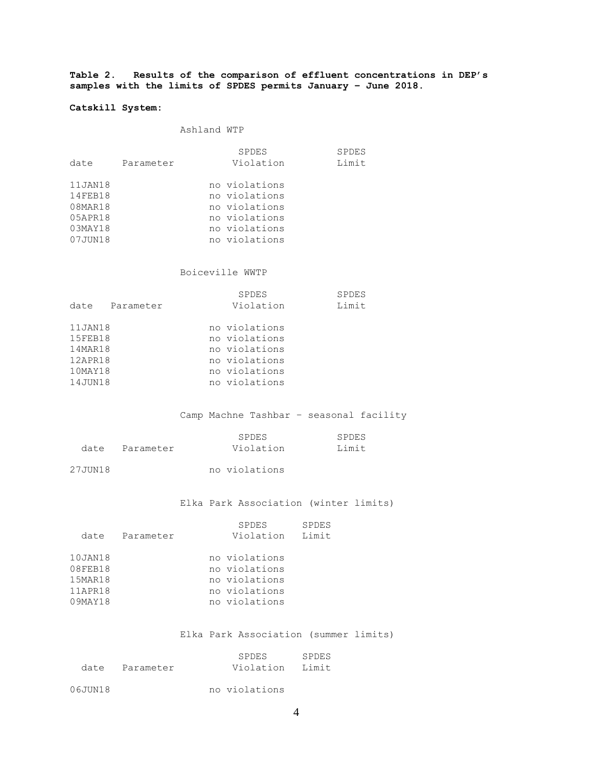**Table 2. Results of the comparison of effluent concentrations in DEP's samples with the limits of SPDES permits January – June 2018.**

#### **Catskill System:**

Ashland WTP

|             |           | <b>SPDES</b>  | <b>SPDES</b> |
|-------------|-----------|---------------|--------------|
| date        | Parameter | Violation     | Limit        |
| 11JAN18     |           | no violations |              |
| 14FEB18     |           | no violations |              |
| 08MAR18     |           | no violations |              |
| 05APR18     |           | no violations |              |
| $0.3$ MAY18 |           | no violations |              |
| 07JUN18     |           | no violations |              |
|             |           |               |              |

#### Boiceville WWTP

|          |           | <b>SPDES</b>  | <b>SPDES</b> |
|----------|-----------|---------------|--------------|
| date     | Parameter | Violation     | Limit        |
|          |           |               |              |
| 11JAN18  |           | no violations |              |
| 15FEB18  |           | no violations |              |
| 14MAR18  |           | no violations |              |
| 12APR18  |           | no violations |              |
| 10MAY18  |           | no violations |              |
| 14 JUN18 |           | no violations |              |

#### Camp Machne Tashbar – seasonal facility

|                | SPDES     | SPDES |
|----------------|-----------|-------|
| date Parameter | Violation | Limit |
|                |           |       |

#### Elka Park Association (winter limits)

|         |           | <b>SPDES</b><br>SPDES |
|---------|-----------|-----------------------|
| date    | Parameter | Limit<br>Violation    |
|         |           |                       |
| 10JAN18 |           | no violations         |
| 08FEB18 |           | no violations         |
| 15MAR18 |           | no violations         |
| 11APR18 |           | no violations         |
| 09MAY18 |           | no violations         |

#### Elka Park Association (summer limits)

|         | date Parameter | SPDES<br>SPDES<br>T.imit<br>Violation |
|---------|----------------|---------------------------------------|
| 06JUN18 |                | no violations                         |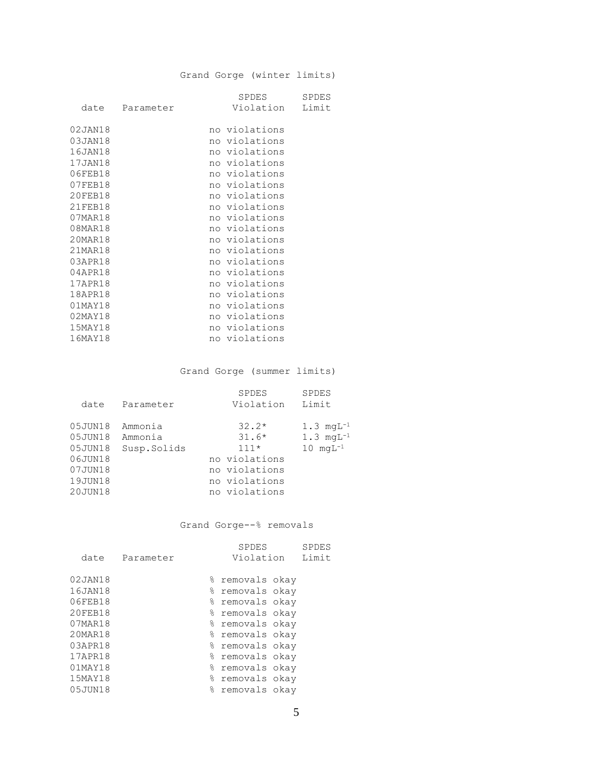#### Grand Gorge (winter limits)

|         |           | SPDES         | <b>SPDES</b> |
|---------|-----------|---------------|--------------|
| date    | Parameter | Violation     | Limit        |
|         |           |               |              |
| 02JAN18 |           | no violations |              |
| 03JAN18 |           | no violations |              |
| 16JAN18 |           | no violations |              |
| 17JAN18 |           | no violations |              |
| 06FEB18 |           | no violations |              |
| 07FEB18 |           | no violations |              |
| 20FEB18 |           | no violations |              |
| 21FEB18 |           | no violations |              |
| 07MAR18 |           | no violations |              |
| 08MAR18 |           | no violations |              |
| 20MAR18 |           | no violations |              |
| 21MAR18 |           | no violations |              |
| 03APR18 |           | no violations |              |
| 04APR18 |           | no violations |              |
| 17APR18 |           | no violations |              |
| 18APR18 |           | no violations |              |
| 01MAY18 |           | no violations |              |
| 02MAY18 |           | no violations |              |
| 15MAY18 |           | no violations |              |
| 16MAY18 |           | no violations |              |

Grand Gorge (summer limits)

|             | SPDES         | <b>SPDES</b><br>Limit  |
|-------------|---------------|------------------------|
|             |               |                        |
| Ammonia     | $32.2*$       | $1.3 \text{ mqL}^{-1}$ |
| Ammonia     | $31.6*$       | $1.3 \text{ mgL}^{-1}$ |
| Susp.Solids | $111*$        | $10 \text{ mqL}^{-1}$  |
|             | no violations |                        |
|             | no violations |                        |
|             | no violations |                        |
|             | no violations |                        |
|             | Parameter     | Violation              |

#### Grand Gorge--% removals

|               |           |   | <b>SPDES</b>    |       | <b>SPDES</b> |
|---------------|-----------|---|-----------------|-------|--------------|
| date          | Parameter |   | Violation       | Limit |              |
| 02JAN18       |           | ⊱ | removals okay   |       |              |
| 16JAN18       |           |   | % removals okay |       |              |
| 06FEB18       |           |   | % removals okay |       |              |
| 20FEB18       |           |   | % removals okay |       |              |
| 07MAR18       |           |   | % removals okay |       |              |
| 20MAR18       |           |   | % removals okay |       |              |
| 03APR18       |           |   | % removals okay |       |              |
| 17APR18       |           |   | % removals okay |       |              |
| $01$ MAY $18$ |           |   | % removals okay |       |              |
| 15MAY18       |           |   | % removals okay |       |              |
| 05JUN18       |           | g | removals okay   |       |              |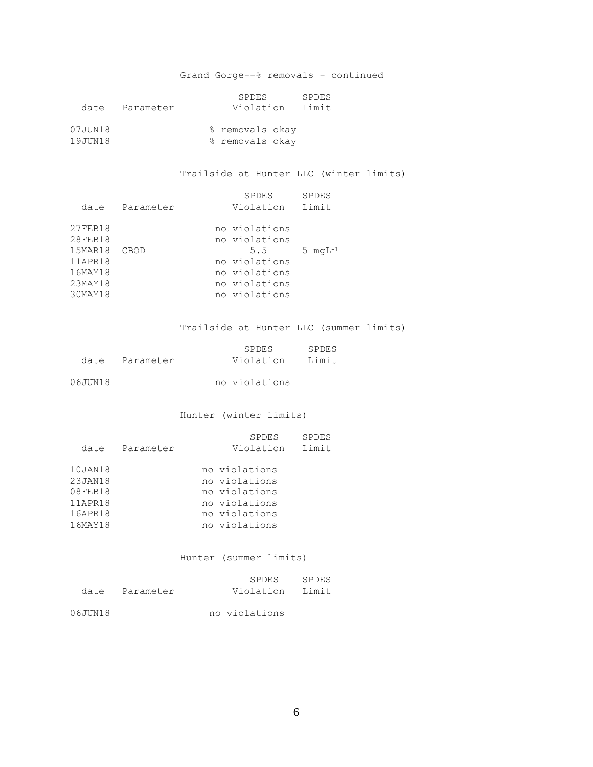#### Grand Gorge--% removals - continued

|         |           | SPDES           | SPDES |
|---------|-----------|-----------------|-------|
| date    | Parameter | Violation       | Limit |
| 07JUN18 |           | % removals okay |       |
| 19JUN18 |           | % removals okay |       |

#### Trailside at Hunter LLC (winter limits)

| date               | Parameter | SPDES<br>Violation             | SPDES<br>Limit |
|--------------------|-----------|--------------------------------|----------------|
| 27FEB18<br>28FEB18 |           | no violations<br>no violations |                |
| 15MAR18<br>11APR18 | CBOD      | 5.5<br>no violations           | 5 $mqL^{-1}$   |
| 16MAY18            |           | no violations                  |                |
| 23MAY18<br>30MAY18 |           | no violations<br>no violations |                |

#### Trailside at Hunter LLC (summer limits)

|      |           | SPDES     | SPDES |
|------|-----------|-----------|-------|
| date | Parameter | Violation | Limit |

| 06JUN18 | no violations |
|---------|---------------|
|         |               |

Hunter (winter limits)

| date    | Parameter | <b>SPDES</b><br>Violation | <b>SPDES</b><br>Limit |
|---------|-----------|---------------------------|-----------------------|
|         |           |                           |                       |
| 10JAN18 |           | no violations             |                       |
| 23JAN18 |           | no violations             |                       |
| 08FEB18 |           | no violations             |                       |
| 11APR18 |           | no violations             |                       |
| 16APR18 |           | no violations             |                       |
| 16MAY18 |           | no violations             |                       |

Hunter (summer limits)

|         | date Parameter | SPDES<br>Violation | SPDES<br>Limit |
|---------|----------------|--------------------|----------------|
| 06JUN18 |                | no violations      |                |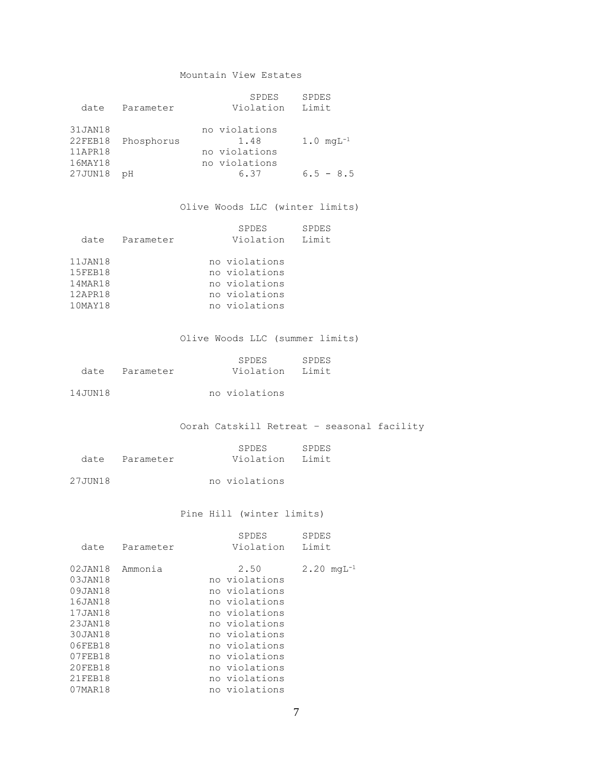#### Mountain View Estates

| date                                     | Parameter  | SPDES<br>Violation                                      | <b>SPDES</b><br>Limit    |
|------------------------------------------|------------|---------------------------------------------------------|--------------------------|
| 31JAN18<br>22FEB18<br>11APR18<br>16MAY18 | Phosphorus | no violations<br>1.48<br>no violations<br>no violations | $1.0 \, \text{mqL}^{-1}$ |
| 27JUN18                                  | рH         | 6.37                                                    | $6.5 - 8.5$              |

#### Olive Woods LLC (winter limits)

| date                                                | Parameter | <b>SPDES</b><br>SPDES<br>Limit<br>Violation                                       |
|-----------------------------------------------------|-----------|-----------------------------------------------------------------------------------|
| 11JAN18<br>15FEB18<br>14MAR18<br>12APR18<br>10MAY18 |           | no violations<br>no violations<br>no violations<br>no violations<br>no violations |

#### Olive Woods LLC (summer limits)

|      |           | SPDES     | SPDES |
|------|-----------|-----------|-------|
| date | Parameter | Violation | Limit |

14JUN18 no violations

#### Oorah Catskill Retreat – seasonal facility

|                | SPDES           | SPDES |
|----------------|-----------------|-------|
| date Parameter | Violation Limit |       |
|                |                 |       |

27JUN18 no violations

#### Pine Hill (winter limits)

| date    | Parameter | SPDES<br>Violation | <b>SPDES</b><br>Limit   |
|---------|-----------|--------------------|-------------------------|
|         |           |                    |                         |
| 02JAN18 | Ammonia   | 2.50               | $2.20 \text{ rad}^{-1}$ |
| 03JAN18 |           | no violations      |                         |
| 09JAN18 |           | no violations      |                         |
| 16JAN18 |           | no violations      |                         |
| 17JAN18 |           | no violations      |                         |
| 23JAN18 |           | no violations      |                         |
| 30JAN18 |           | no violations      |                         |
| 06FEB18 |           | no violations      |                         |
| 07FEB18 |           | no violations      |                         |
| 20FEB18 |           | no violations      |                         |
| 21FEB18 |           | no violations      |                         |
| 07MAR18 |           | no violations      |                         |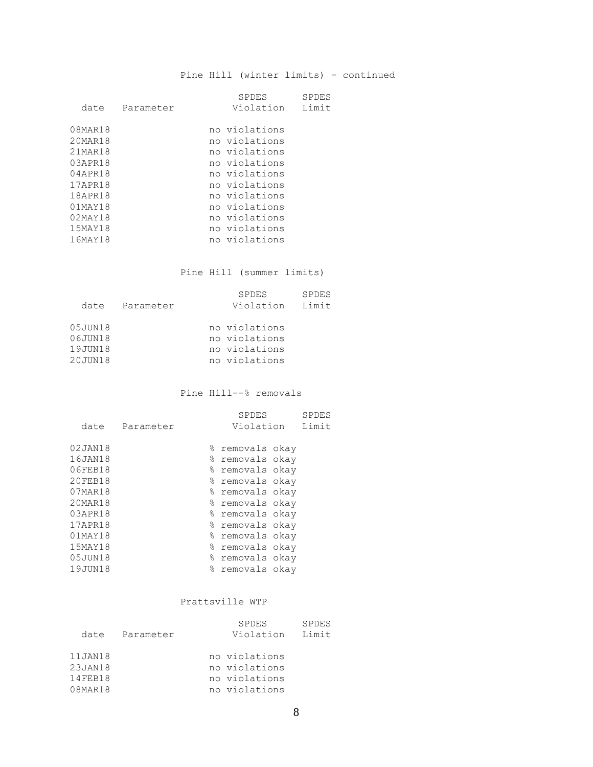#### Pine Hill (winter limits) - continued

|               |           | SPDES         | SPDES |
|---------------|-----------|---------------|-------|
| date          | Parameter | Violation     | Limit |
| 08MAR18       |           | no violations |       |
| 20MAR18       |           | no violations |       |
| 21MAR18       |           | no violations |       |
| 03APR18       |           | no violations |       |
| 04APR18       |           | no violations |       |
| 17APR18       |           | no violations |       |
| 18APR18       |           | no violations |       |
| $01$ MAY $18$ |           | no violations |       |
| $02$ MAY18    |           | no violations |       |
| 15MAY18       |           | no violations |       |
| 16MAY18       |           | no violations |       |

Pine Hill (summer limits)

|         |           | <b>SPDES</b>  | <b>SPDES</b> |
|---------|-----------|---------------|--------------|
| date    | Parameter | Violation     | Limit        |
|         |           |               |              |
| 05JUN18 |           | no violations |              |
| 06JUN18 |           | no violations |              |
| 19JUN18 |           | no violations |              |
| 20JUN18 |           | no violations |              |

Pine Hill--% removals

|         |           |   | SPDES           | <b>SPDES</b> |
|---------|-----------|---|-----------------|--------------|
| date    | Parameter |   | Violation       | Limit        |
| 02JAN18 |           |   |                 |              |
|         |           |   | % removals okay |              |
| 16JAN18 |           |   | % removals okay |              |
| 06FEB18 |           |   | % removals okay |              |
| 20FEB18 |           |   | % removals okay |              |
| 07MAR18 |           |   | % removals okay |              |
| 20MAR18 |           |   | % removals okay |              |
| 03APR18 |           |   | % removals okay |              |
| 17APR18 |           |   | % removals okay |              |
| 01MAY18 |           |   | % removals okay |              |
| 15MAY18 |           |   | % removals okay |              |
| 05JUN18 |           |   | % removals okay |              |
| 19JUN18 |           | % | removals okay   |              |
|         |           |   |                 |              |

#### Prattsville WTP

|         |           | SPDES         | <b>SPDES</b> |
|---------|-----------|---------------|--------------|
| date    | Parameter | Violation     | Limit        |
|         |           |               |              |
| 11JAN18 |           | no violations |              |
| 23JAN18 |           | no violations |              |
| 14FEB18 |           | no violations |              |
| 08MAR18 |           | no violations |              |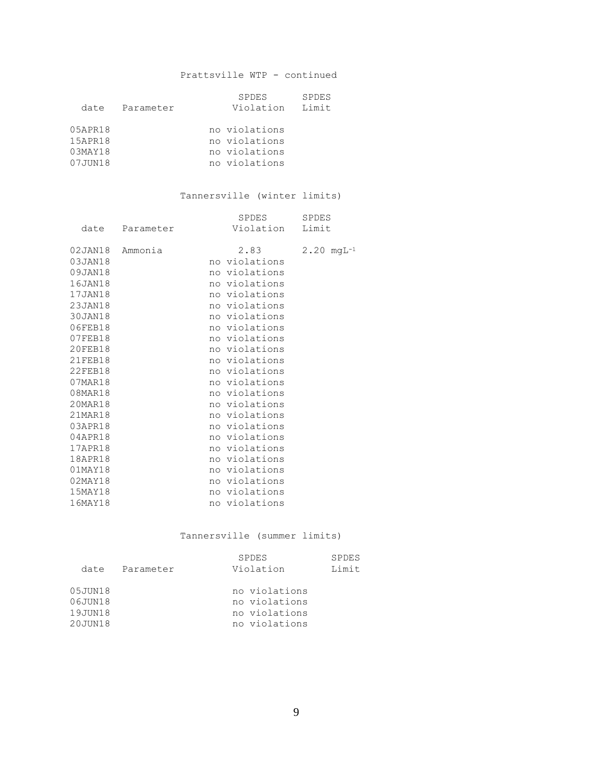#### Prattsville WTP - continued

|            |           | <b>SPDES</b>  | <b>SPDES</b> |
|------------|-----------|---------------|--------------|
| date       | Parameter | Violation     | Limit        |
|            |           |               |              |
| 05APR18    |           | no violations |              |
| 15APR18    |           | no violations |              |
| $03$ MAY18 |           | no violations |              |
| 07JUN18    |           | no violations |              |
|            |           |               |              |

#### Tannersville (winter limits)

|                |           | SPDES           | SPDES                   |
|----------------|-----------|-----------------|-------------------------|
| date           | Parameter | Violation Limit |                         |
| 02JAN18        | Ammonia   | 2.83            | $2.20 \text{ mgL}^{-1}$ |
| 03JAN18        |           | no violations   |                         |
| 09JAN18        |           | no violations   |                         |
| 16JAN18        |           | no violations   |                         |
| 17JAN18        |           | no violations   |                         |
| 23JAN18        |           | no violations   |                         |
| 30JAN18        |           | no violations   |                         |
| 06FEB18        |           | no violations   |                         |
| 07FEB18        |           | no violations   |                         |
| 20FEB18        |           | no violations   |                         |
| 21FEB18        |           | no violations   |                         |
| <b>22FEB18</b> |           | no violations   |                         |
| 07MAR18        |           | no violations   |                         |
| 08MAR18        |           | no violations   |                         |
| 20MAR18        |           | no violations   |                         |
| 21MAR18        |           | no violations   |                         |
| 03APR18        |           | no violations   |                         |
| 04APR18        |           | no violations   |                         |
| 17APR18        |           | no violations   |                         |
| 18APR18        |           | no violations   |                         |
| $01$ MAY $18$  |           | no violations   |                         |
| $02$ MAY $18$  |           | no violations   |                         |
| 15MAY18        |           | no violations   |                         |
| 16MAY18        |           | no violations   |                         |

#### Tannersville (summer limits)

| date                                     | Parameter | <b>SPDES</b><br>Violation                                        | SPDES<br>Limit |
|------------------------------------------|-----------|------------------------------------------------------------------|----------------|
| 05JUN18<br>06JUN18<br>19JUN18<br>20JUN18 |           | no violations<br>no violations<br>no violations<br>no violations |                |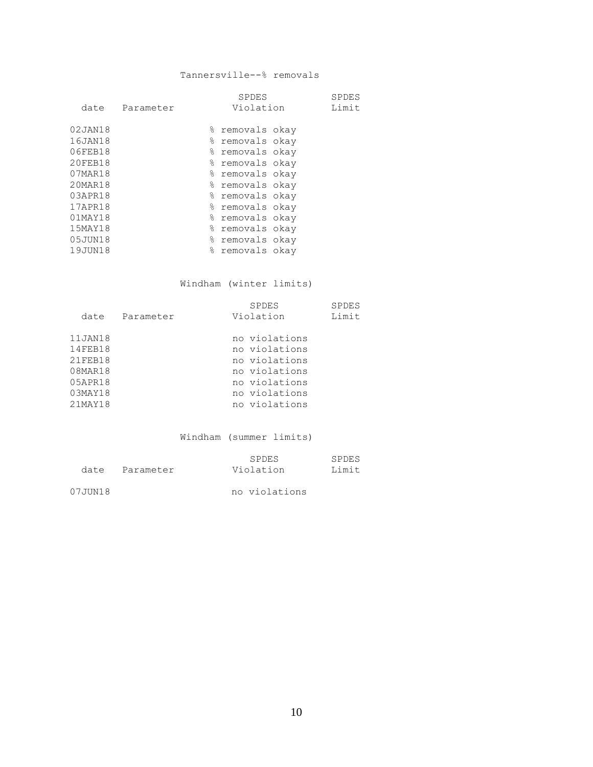#### Tannersville--% removals

|               |           |           | <b>SPDES</b>    | SPDES |
|---------------|-----------|-----------|-----------------|-------|
| date          | Parameter |           | Violation       | Limit |
|               |           |           |                 |       |
| 02JAN18       |           | 응         | removals okay   |       |
| 16JAN18       |           | ⊱         | removals okay   |       |
| 06FEB18       |           | ⊱         | removals okay   |       |
| 20FEB18       |           | 응         | removals okay   |       |
| 07MAR18       |           |           | % removals okay |       |
| 20MAR18       |           | 응         | removals okay   |       |
| 03APR18       |           |           | % removals okay |       |
| 17APR18       |           | 옹         | removals okav   |       |
| $01$ MAY $18$ |           |           | % removals okay |       |
| 15MAY18       |           | 응         | removals okav   |       |
| 05JUN18       |           |           | % removals okay |       |
| 19JUN18       |           | $\approx$ | removals okay   |       |
|               |           |           |                 |       |

#### Windham (winter limits)

| date                                                                         | Parameter | SPDES<br>Violation                                                                                                  | SPDES<br>Limit |
|------------------------------------------------------------------------------|-----------|---------------------------------------------------------------------------------------------------------------------|----------------|
| 11JAN18<br>14FEB18<br>21FEB18<br>08MAR18<br>05APR18<br>$03$ MAY18<br>21MAY18 |           | no violations<br>no violations<br>no violations<br>no violations<br>no violations<br>no violations<br>no violations |                |

Windham (summer limits)

| date    | Parameter | SPDES<br>Violation | SPDES<br>T.imit |
|---------|-----------|--------------------|-----------------|
| 07JUN18 |           | no violations      |                 |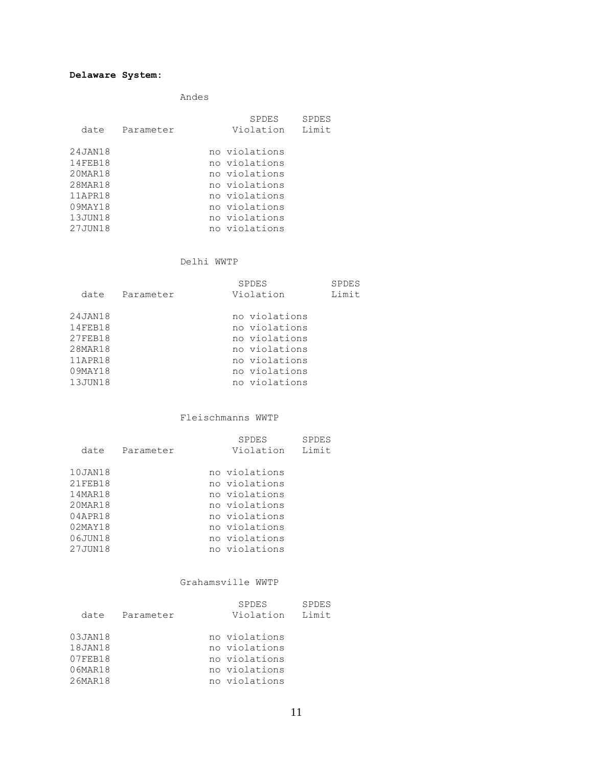Andes

| date       | Parameter | SPDES<br>Violation | SPDES<br>Limit |
|------------|-----------|--------------------|----------------|
| 24JAN18    |           | no violations      |                |
| 14FEB18    |           | no violations      |                |
| $20$ MAR18 |           | no violations      |                |
| 28MAR18    |           | no violations      |                |
| 11APR18    |           | no violations      |                |
| 09MAY18    |           | no violations      |                |
| 13JUN18    |           | no violations      |                |
| 27JUN18    |           | no violations      |                |

#### Delhi WWTP

|         |           | <b>SPDES</b>  | SPDES |
|---------|-----------|---------------|-------|
| date    | Parameter | Violation     | Limit |
|         |           |               |       |
| 24JAN18 |           | no violations |       |
| 14FEB18 |           | no violations |       |
| 27FEB18 |           | no violations |       |
| 28MAR18 |           | no violations |       |
| 11APR18 |           | no violations |       |
| 09MAY18 |           | no violations |       |
| 13JUN18 |           | no violations |       |

#### Fleischmanns WWTP

| date    | Parameter | SPDES<br>Violation | SPDES<br>Limit |
|---------|-----------|--------------------|----------------|
| 10JAN18 |           | no violations      |                |
| 21FEB18 |           | no violations      |                |
| 14MAR18 |           | no violations      |                |
| 20MAR18 |           | no violations      |                |
| 04APR18 |           | no violations      |                |
| 02MAY18 |           | no violations      |                |
| 06JUN18 |           | no violations      |                |
| 27JUN18 |           | no violations      |                |

#### Grahamsville WWTP

|         |           | SPDES         | <b>SPDES</b> |
|---------|-----------|---------------|--------------|
| date    | Parameter | Violation     | Limit        |
|         |           |               |              |
| 03JAN18 |           | no violations |              |
| 18JAN18 |           | no violations |              |
| 07FEB18 |           | no violations |              |
| 06MAR18 |           | no violations |              |
| 26MAR18 |           | no violations |              |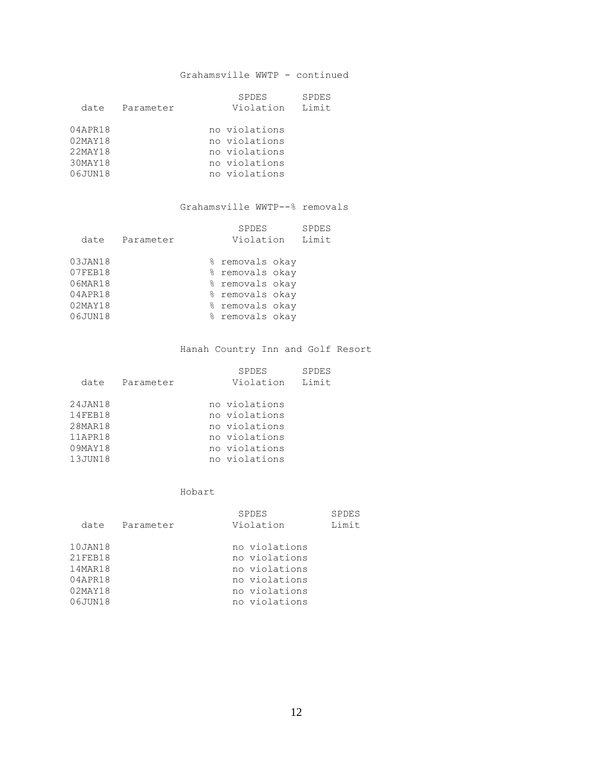#### Grahamsville WWTP - continued

|            |           | <b>SPDES</b><br><b>SPDES</b> |
|------------|-----------|------------------------------|
| date       | Parameter | Limit<br>Violation           |
|            |           |                              |
| 04APR18    |           | no violations                |
| $02$ MAY18 |           | no violations                |
| 22MAY18    |           | no violations                |
| 30MAY18    |           | no violations                |
| 06JUN18    |           | no violations                |

#### Grahamsville WWTP--% removals

|           | SPDES | <b>SPDES</b>                                                                                                                |
|-----------|-------|-----------------------------------------------------------------------------------------------------------------------------|
| Parameter |       | Limit                                                                                                                       |
|           |       |                                                                                                                             |
|           |       |                                                                                                                             |
|           |       |                                                                                                                             |
|           |       |                                                                                                                             |
|           |       |                                                                                                                             |
|           |       |                                                                                                                             |
|           |       |                                                                                                                             |
|           |       | Violation<br>% removals okay<br>% removals okay<br>% removals okay<br>% removals okay<br>% removals okay<br>% removals okay |

#### Hanah Country Inn and Golf Resort

| date                                                           | Parameter | SPDES<br>Violation                                                                                 | <b>SPDES</b><br>Limit |
|----------------------------------------------------------------|-----------|----------------------------------------------------------------------------------------------------|-----------------------|
| 24JAN18<br>14FEB18<br>28MAR18<br>11APR18<br>09MAY18<br>13JUN18 |           | no violations<br>no violations<br>no violations<br>no violations<br>no violations<br>no violations |                       |

Hobart

| date                                                           | Parameter | <b>SPDES</b><br>Violation                                                                          | <b>SPDES</b><br>Limit |
|----------------------------------------------------------------|-----------|----------------------------------------------------------------------------------------------------|-----------------------|
| 10JAN18<br>21FEB18<br>14MAR18<br>04APR18<br>02MAY18<br>06JUN18 |           | no violations<br>no violations<br>no violations<br>no violations<br>no violations<br>no violations |                       |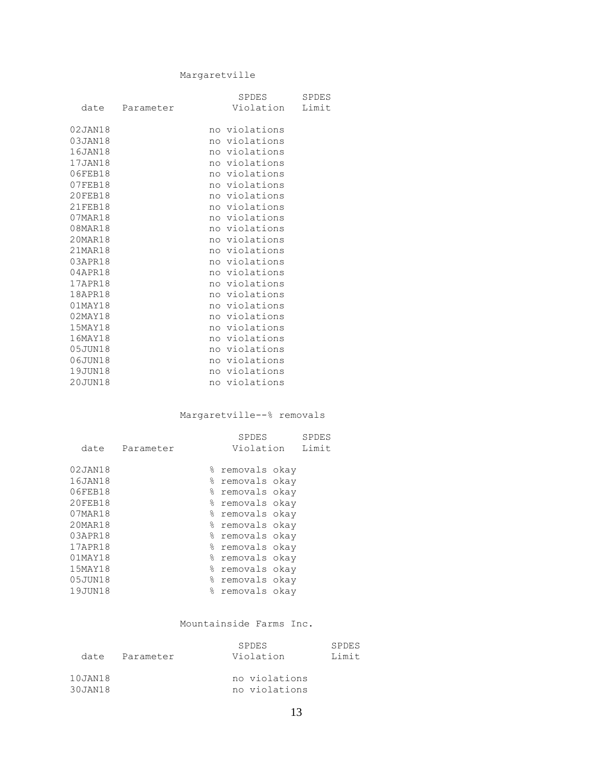#### Margaretville

|               |           | SPDES           | <b>SPDES</b> |
|---------------|-----------|-----------------|--------------|
| date          | Parameter | Violation Limit |              |
| 02JAN18       |           | no violations   |              |
| 03JAN18       |           | no violations   |              |
| 16JAN18       |           | no violations   |              |
| 17JAN18       |           | no violations   |              |
| 06FEB18       |           | no violations   |              |
| 07FEB18       |           | no violations   |              |
| 20FEB18       |           | no violations   |              |
| 21FEB18       |           | no violations   |              |
| 07MAR18       |           | no violations   |              |
| 08MAR18       |           | no violations   |              |
| 20MAR18       |           | no violations   |              |
| 21MAR18       |           | no violations   |              |
| 03APR18       |           | no violations   |              |
| 04APR18       |           | no violations   |              |
| 17APR18       |           | no violations   |              |
| 18APR18       |           | no violations   |              |
| $01$ MAY $18$ |           | no violations   |              |
| $02$ MAY $18$ |           | no violations   |              |
| 15MAY18       |           | no violations   |              |
| 16MAY18       |           | no violations   |              |
| 05JUN18       |           | no violations   |              |
| 06JUN18       |           | no violations   |              |
| 19JUN18       |           | no violations   |              |
| 20JUN18       |           | no violations   |              |

#### Margaretville--% removals

|               |           |   | SPDES           | SPDES |
|---------------|-----------|---|-----------------|-------|
| date          | Parameter |   | Violation       | Limit |
| 02JAN18       |           |   | % removals okay |       |
| 16JAN18       |           |   | % removals okay |       |
| 06FEB18       |           |   | % removals okay |       |
| 20FEB18       |           |   | % removals okay |       |
| 07MAR18       |           |   | % removals okay |       |
| 20MAR18       |           |   | % removals okay |       |
| 03APR18       |           |   | % removals okay |       |
| 17APR18       |           |   | % removals okay |       |
| $01$ MAY $18$ |           |   | % removals okay |       |
| 15MAY18       |           |   | % removals okay |       |
| 05JUN18       |           |   | % removals okay |       |
| 19JUN18       |           | ⊱ | removals okay   |       |

#### Mountainside Farms Inc.

| date                 | Parameter | <b>SPDES</b><br>Violation      | SPDES<br>T.imit |
|----------------------|-----------|--------------------------------|-----------------|
| 10JAN18<br>30 JAN 18 |           | no violations<br>no violations |                 |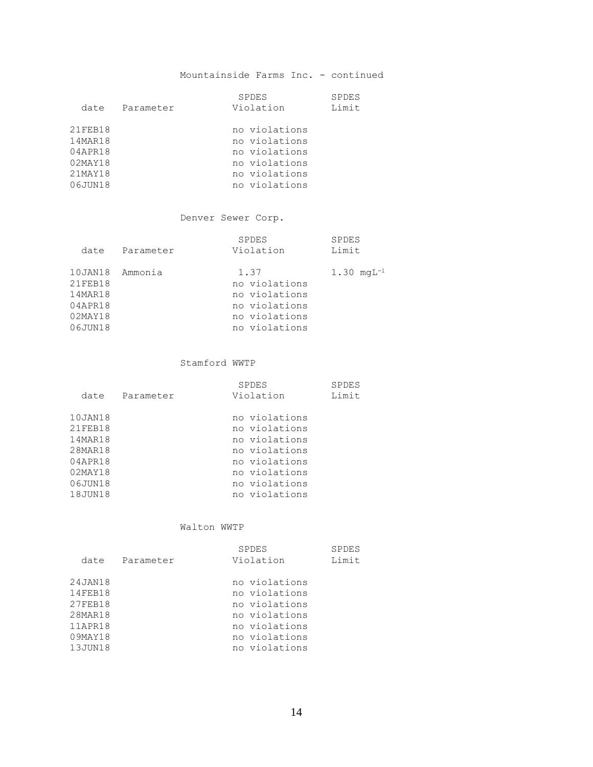#### Mountainside Farms Inc. - continued

| date                                                           | Parameter | <b>SPDES</b><br>Violation                                                                          | <b>SPDES</b><br>Limit |
|----------------------------------------------------------------|-----------|----------------------------------------------------------------------------------------------------|-----------------------|
| 21FEB18<br>14MAR18<br>04APR18<br>02MAY18<br>21MAY18<br>06JUN18 |           | no violations<br>no violations<br>no violations<br>no violations<br>no violations<br>no violations |                       |

#### Denver Sewer Corp.

|         |           | SPDES         | <b>SPDES</b>            |
|---------|-----------|---------------|-------------------------|
| date    | Parameter | Violation     | Limit                   |
| 10JAN18 | Ammonia   | 1.37          | $1.30 \text{ mqL}^{-1}$ |
| 21FEB18 |           | no violations |                         |
| 14MAR18 |           | no violations |                         |
| 04APR18 |           | no violations |                         |
| 02MAY18 |           | no violations |                         |
| 06JUN18 |           | no violations |                         |

#### Stamford WWTP

| date    | Parameter | SPDES<br>Violation | SPDES<br>Limit |
|---------|-----------|--------------------|----------------|
| 10JAN18 |           | no violations      |                |
| 21FEB18 |           | no violations      |                |
| 14MAR18 |           | no violations      |                |
| 28MAR18 |           | no violations      |                |
| 04APR18 |           | no violations      |                |
| 02MAY18 |           | no violations      |                |
| 06JUN18 |           | no violations      |                |
| 18JUN18 |           | no violations      |                |

#### Walton WWTP

| date                                                                      | Parameter | <b>SPDES</b><br>Violation                                                                                           | SPDES<br>Limit |
|---------------------------------------------------------------------------|-----------|---------------------------------------------------------------------------------------------------------------------|----------------|
| 24JAN18<br>14FEB18<br>27FEB18<br>28MAR18<br>11APR18<br>09MAY18<br>13JUN18 |           | no violations<br>no violations<br>no violations<br>no violations<br>no violations<br>no violations<br>no violations |                |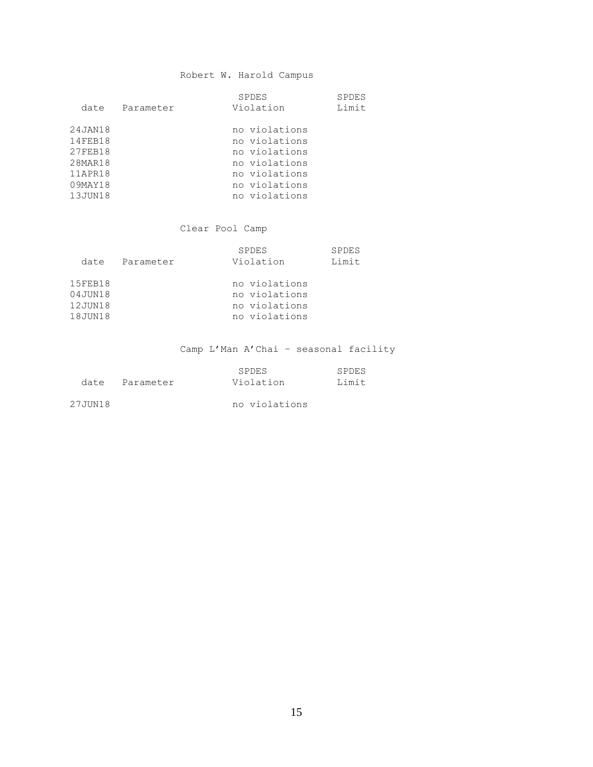#### Robert W. Harold Campus

| date    | Parameter | SPDES<br>Violation | <b>SPDES</b><br>Limit |
|---------|-----------|--------------------|-----------------------|
| 24JAN18 |           | no violations      |                       |
| 14FEB18 |           | no violations      |                       |
| 27FEB18 |           | no violations      |                       |
| 28MAR18 |           | no violations      |                       |
| 11APR18 |           | no violations      |                       |
| 09MAY18 |           | no violations      |                       |
| 13JUN18 |           | no violations      |                       |

#### Clear Pool Camp

| date                          | Parameter | <b>SPDES</b><br>Violation                       | <b>SPDES</b><br>Limit |
|-------------------------------|-----------|-------------------------------------------------|-----------------------|
|                               |           |                                                 |                       |
| 15FEB18<br>04JUN18<br>12JUN18 |           | no violations<br>no violations<br>no violations |                       |
| 18JUN18                       |           | no violations                                   |                       |

### Camp L'Man A'Chai – seasonal facility

|         |           | SPDES         | SPDES  |
|---------|-----------|---------------|--------|
| date    | Parameter | Violation     | T.imit |
|         |           |               |        |
| 27JUN18 |           | no violations |        |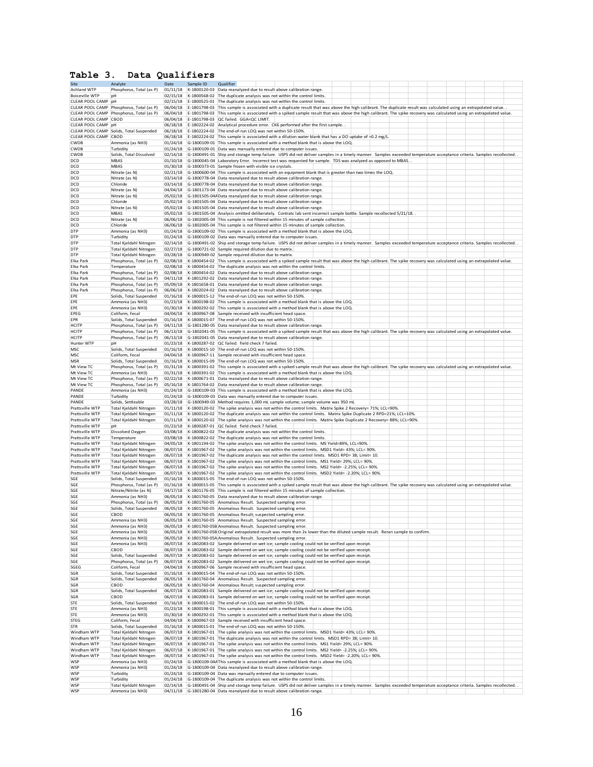#### **Table 3. Data Qualifiers**

| Site                  | Analyte                                    | Date     | Sample ID    | Qualifier                                                                                                                                                                    |  |
|-----------------------|--------------------------------------------|----------|--------------|------------------------------------------------------------------------------------------------------------------------------------------------------------------------------|--|
| Ashland WTP           | Phosphorus, Total (as P)                   | 01/11/18 |              | K-1800120-03 Data reanalyzed due to result above calibration range.                                                                                                          |  |
| <b>Boiceville WTP</b> | pH                                         | 02/15/18 |              | K-1800568-02 The duplicate analysis was not within the control limits.                                                                                                       |  |
| CLEAR POOL CAMP       | pH                                         | 02/15/18 |              | E-1800525-01 The duplicate analysis was not within the control limits.                                                                                                       |  |
| CLEAR POOL CAMP       | Phosphorus, Total (as P)                   | 06/04/18 |              | E-1801798-03 This sample is associated with a duplicate result that was above the high calibrant. The duplicate result was calculated using an extrapolated value.           |  |
| CLEAR POOL CAMP       | Phosphorus, Total (as P)                   | 06/04/18 |              | E-1801798-03 This sample is associated with a spiked sample result that was above the high calibrant. The spike recovery was calculated using an extrapolated value.         |  |
| CLEAR POOL CAMP       | CBOD                                       | 06/04/18 |              | E-1801798-03 QC failed. GGA <qc limit.<="" td=""><td></td></qc>                                                                                                              |  |
| CLEAR POOL CAMP       | <b>DH</b>                                  |          |              | 06/18/18 E-1802224-02 Analytical procedure error. CK6 performed after the first sample                                                                                       |  |
|                       | CLEAR POOL CAMP Solids, Total Suspended    | 06/18/18 |              | E-1802224-02 The end-of-run LOQ was not within 50-150%.                                                                                                                      |  |
| CLEAR POOL CAMP CBOD  |                                            |          |              | 06/18/18 E-1802224-02 This sample is associated with a dilution water blank that has a DO uptake of >0.2 mg/L                                                                |  |
| CWDB                  | Ammonia (as NH3)                           |          |              | 01/24/18 G-1800109-01 This sample is associated with a method blank that is above the LOQ.                                                                                   |  |
| CWDB                  | Turbidity                                  |          |              | 01/24/18 G-1800109-01 Data was manually entered due to computer issues.                                                                                                      |  |
| CWDB                  | Solids, Total Dissolved                    |          |              | 02/14/18 G-1800491-01 Ship and storage temp failure. USPS did not deliver samples in a timely manner. Samples exceeded temperature acceptance criteria. Samples recollected. |  |
| DCD                   | <b>MBAS</b>                                |          |              | 01/10/18 G-1800045-04 Laboratory Error. Incorrect test was requested for sample. TDS was analyzed as opposed to MBAS.                                                        |  |
| DCD                   | <b>MBAS</b>                                |          |              | 01/30/18 G-1800373-01 Sample frozen with visible ice crystals.                                                                                                               |  |
| DCD                   | Nitrate (as N)                             |          |              | 02/21/18 G-1800600-04 This sample is associated with an equipment blank that is greater than two times the LOQ.                                                              |  |
| DCD                   | Nitrate (as N)                             |          |              | 03/14/18 G-1800778-04 Data reanalyzed due to result above calibration range.                                                                                                 |  |
| DCD                   | Chloride                                   |          |              | 03/14/18 G-1800778-04 Data reanalyzed due to result above calibration range.                                                                                                 |  |
| DCD                   | Nitrate (as N)                             |          |              | 04/04/18 G-1801173-04 Data reanalyzed due to result above calibration range.                                                                                                 |  |
| DCD                   | Nitrate (as N)                             |          |              | 05/02/18 G-1801505-04A Data reanalyzed due to result above calibration range.                                                                                                |  |
| DCD                   | Chloride                                   |          |              | 05/02/18 G-1801505-04 Data reanalyzed due to result above calibration range.                                                                                                 |  |
| DCD                   | Nitrate (as N)                             |          |              | 05/02/18 G-1801505-04 Data reanalyzed due to result above calibration range.                                                                                                 |  |
| DCD                   | MBAS                                       |          |              | 05/02/18 G-1801505-04 Analysis omitted deliberately. Contratc lab sent incorrect sample bottle. Sample recollected 5/21/18.                                                  |  |
| DCD                   | Nitrate (as N)                             |          |              | 06/06/18 G-1802005-04 This sample is not filtered within 15 minutes of sample collection.                                                                                    |  |
| DCD                   | Chloride                                   |          |              | 06/06/18 G-1802005-04 This sample is not filtered within 15 minutes of sample collection.                                                                                    |  |
| <b>DTP</b>            | Ammonia (as NH3)                           |          |              | 01/24/18 G-1800109-02 This sample is associated with a method blank that is above the LOQ.                                                                                   |  |
| <b>DTP</b>            | Turbidity                                  |          |              | 01/24/18 G-1800109-02 Data was manually entered due to computer issues.                                                                                                      |  |
| DTP                   | Total Kjeldahl Nitrogen                    |          |              | 02/14/18 G-1800491-02 Ship and storage temp failure. USPS did not deliver samples in a timely manner. Samples exceeded temperature acceptance criteria. Samples recollected. |  |
| DTP                   | Total Kjeldahl Nitrogen                    |          |              | 02/27/18 G-1800721-02 Sample required dilution due to matrix.                                                                                                                |  |
| <b>DTP</b>            | Total Kjeldahl Nitrogen                    |          |              | 03/28/18 G-1800949-02 Sample required dilution due to matrix.                                                                                                                |  |
| Elka Park             | Phosphorus, Total (as P)                   | 02/08/18 |              | K-1800454-02 This sample is associated with a spiked sample result that was above the high calibrant. The spike recovery was calculated using an extrapolated value.         |  |
| Elka Park             | Temperature                                | 02/08/18 |              | K-1800454-02 The duplicate analysis was not within the control limits.                                                                                                       |  |
| Elka Park             | Phosphorus, Total (as P)                   | 02/08/18 |              | K-1800454-02 Data reanalyzed due to result above calibration range.                                                                                                          |  |
| Elka Park             | Phosphorus, Total (as P)                   | 04/11/18 |              | K-1801292-02 Data reanalyzed due to result above calibration range.                                                                                                          |  |
| Elka Park             | Phosphorus, Total (as P)                   | 05/09/18 |              | K-1801658-01 Data reanalyzed due to result above calibration range.                                                                                                          |  |
| Elka Park             | Phosphorus, Total (as P)                   | 06/06/18 |              | K-1802024-02 Data reanalyzed due to result above calibration range.                                                                                                          |  |
| EPE                   | Solids, Total Suspended                    | 01/16/18 |              | K-1800015-12 The end-of-run LOQ was not within 50-150%.                                                                                                                      |  |
| EPE                   | Ammonia (as NH3)                           | 01/23/18 |              | K-1800198-02 This sample is associated with a method blank that is above the LOQ.                                                                                            |  |
| EPE                   | Ammonia (as NH3)                           |          |              | 01/30/18 K-1800292-02 This sample is associated with a method blank that is above the LOQ.                                                                                   |  |
| EPEG                  | Coliform, Fecal                            |          |              | 04/04/18 K-1800967-08 Sample received with insufficient head space.                                                                                                          |  |
| EPR                   | Solids, Total Suspended                    | 01/16/18 |              | K-1800015-07 The end-of-run LOQ was not within 50-150%.                                                                                                                      |  |
| <b>HCITP</b>          | Phosphorus, Total (as P)                   |          |              | 04/11/18 G-1801280-05 Data reanalyzed due to result above calibration range.                                                                                                 |  |
| <b>HCITP</b>          | Phosphorus, Total (as P)                   |          |              | 06/13/18 G-1802041-05 This sample is associated with a spiked sample result that was above the high calibrant. The spike recovery was calculated using an extrapolated value |  |
| <b>HCITP</b>          | Phosphorus, Total (as P)                   |          |              | 06/13/18 G-1802041-05 Data reanalyzed due to result above calibration range.                                                                                                 |  |
| Hunter WTP            | DH                                         | 01/23/18 |              | K-1800287-02 OC failed, field check 7 failed.                                                                                                                                |  |
| MSC                   | Solids, Total Suspended                    | 01/16/18 |              | K-1800015-10 The end-of-run LOO was not within 50-150%                                                                                                                       |  |
| MSC                   | Coliform, Fecal                            | 04/04/18 |              | K-1800967-11 Sample received with insufficient head space.                                                                                                                   |  |
| <b>MSR</b>            | Solids, Total Suspended                    |          |              | 01/16/18 K-1800015-09 The end-of-run LOQ was not within 50-150%.                                                                                                             |  |
| Mt View TC            | Phosphorus, Total (as P)                   | 01/31/18 |              | K-1800391-02 This sample is associated with a spiked sample result that was above the high calibrant. The spike recovery was calculated using an extrapolated value          |  |
| Mt View TC            | Ammonia (as NH3)                           |          |              | 01/31/18 K-1800391-02 This sample is associated with a method blank that is above the LOQ.                                                                                   |  |
| Mt View TC            | Phosphorus, Total (as P)                   |          |              | 02/22/18 K-1800671-01 Data reanalyzed due to result above calibration range.                                                                                                 |  |
| Mt View TC            | Phosphorus, Total (as P)                   |          |              | 05/16/18 K-1801764-02 Data reanalyzed due to result above calibration range.                                                                                                 |  |
| PANDE                 | Ammonia (as NH3)                           |          |              | 01/24/18 G-1800109-03 This sample is associated with a method blank that is above the LOQ.                                                                                   |  |
| PANDE                 | Turbidity                                  | 01/24/18 |              | G-1800109-03 Data was manually entered due to computer issues.                                                                                                               |  |
| PANDE                 | Solids, Settleable                         | 03/28/18 |              | G-1800949-03 Method requires 1,000 mL sample volume; sample volume was 950 mL                                                                                                |  |
| Prattsville WTP       | Total Kjeldahl Nitrogen                    |          |              | 01/11/18 K-1800120-02 The spike analysis was not within the control limits. Matrix Spike 2 Recovery= 71%; LCL=90%.                                                           |  |
| Prattsville WTP       | Total Kjeldahl Nitrogen                    | 01/11/18 |              | K-1800120-02 The duplicate analysis was not within the control limits. Matrix Spike Duplicate 2 RPD=21%; LCL=10%.                                                            |  |
| Prattsville WTP       | Total Kjeldahl Nitrogen                    | 01/11/18 |              | K-1800120-02 The spike analysis was not within the control limits. Matrix Spike Duplicate 2 Recovery= 88%; LCL=90%.                                                          |  |
| Prattsville WTP       | DH                                         | 01/23/18 |              | K-1800287-01 QC failed. field check 7 failed.                                                                                                                                |  |
| Prattsville WTP       | Dissolved Oxygen                           | 03/08/18 | K-1800822-02 | The duplicate analysis was not within the control limits.                                                                                                                    |  |
| Prattsville WTP       | Temperature                                | 03/08/18 | K-1800822-02 | The duplicate analysis was not within the control limits.                                                                                                                    |  |
| Prattsville WTP       | Total Kjeldahl Nitrogen                    | 04/05/18 | K-1801194-02 | The spike analysis was not within the control limits. MS Yield=89%, LCL=90%.                                                                                                 |  |
| Prattsville WTP       | Total Kjeldahl Nitrogen                    | 06/07/18 | K-1801967-02 | The spike analysis was not within the control limits. MSD1 Yield= 43%; LCL= 90%.                                                                                             |  |
| Prattsville WTP       | Total Kjeldahl Nitrogen                    | 06/07/18 | K-1801967-02 | The duplicate analysis was not within the control limits. MSD1 RPD= 38; Limit= 10.                                                                                           |  |
| Prattsville WTP       | Total Kjeldahl Nitrogen                    | 06/07/18 | K-1801967-02 | The spike analysis was not within the control limits. MS1 Yield= 29%; LCL= 90%.                                                                                              |  |
| Prattsville WTP       | Total Kjeldahl Nitrogen                    | 06/07/18 | K-1801967-02 | The spike analysis was not within the control limits. MS2 Yield= -2.25%; LCL= 90%.                                                                                           |  |
| Prattsville WTP       | Total Kjeldahl Nitrogen                    | 06/07/18 |              | K-1801967-02 The spike analysis was not within the control limits. MSD2 Yield= -2.20%; LCL= 90%.                                                                             |  |
| SGE                   | Solids, Total Suspended                    | 01/16/18 |              | K-1800015-05 The end-of-run LOQ was not within 50-150%.                                                                                                                      |  |
| SGE                   | Phosphorus, Total (as P)                   | 01/16/18 |              | K-1800015-05 This sample is associated with a spiked sample result that was above the high calibrant. The spike recovery was calculated using an extrapolated value          |  |
| SGE                   | Nitrate/Nitrite (as N)                     | 04/17/18 |              | K-1801176-05 This sample is not filtered within 15 minutes of sample collection.                                                                                             |  |
| SGE                   | Ammonia (as NH3)                           | 06/05/18 |              | K-1801760-05 Data reanalyzed due to result above calibration range.                                                                                                          |  |
| SGE                   | Phosphorus, Total (as P)                   | 06/05/18 |              | K-1801760-05 Anomalous Result. Suspected sampling error.                                                                                                                     |  |
| SGE                   | Solids, Total Suspended                    |          |              | 06/05/18 K-1801760-05 Anomalous Result. Suspected sampling error.                                                                                                            |  |
| SGE                   | свор                                       |          |              | 06/05/18 K-1801760-05 Anomalous Result; suspected sampling error.                                                                                                            |  |
| SGE                   | Ammonia (as NH3)                           |          |              | 06/05/18 K-1801760-05 Anomalous Result. Suspected sampling error.                                                                                                            |  |
| SGE                   | Ammonia (as NH3)                           |          |              | 06/05/18 K-1801760-05B Anomalous Result. Suspected sampling error.                                                                                                           |  |
| SGE                   | Ammonia (as NH3)                           |          |              | 06/05/18 K-1801760-05B Original extrapolated result was more than 2x lower than the diluted sample result. Reran sample to confirm.                                          |  |
| SGE                   | Ammonia (as NH3)                           |          |              | 06/05/18 K-1801760-05A Anomalous Result. Suspected sampling error.                                                                                                           |  |
| SGE                   | Ammonia (as NH3)                           |          |              | 06/07/18 K-1802083-02 Sample delivered on wet ice; sample cooling could not be verified upon receipt.                                                                        |  |
| SGE                   | CBOD                                       |          |              | 06/07/18 K-1802083-02 Sample delivered on wet ice; sample cooling could not be verified upon receipt.                                                                        |  |
| SGE                   | Solids, Total Suspended                    |          |              | 06/07/18 K-1802083-02 Sample delivered on wet ice; sample cooling could not be verified upon receipt.                                                                        |  |
| SGE                   | Phosphorus, Total (as P)                   |          |              | 06/07/18 K-1802083-02 Sample delivered on wet ice; sample cooling could not be verified upon receipt.                                                                        |  |
| SGEG                  | Coliform, Fecal                            |          |              | 04/04/18 K-1800967-06 Sample received with insufficient head space.                                                                                                          |  |
| SGR<br>SGR            | Solids, Total Suspended                    |          |              | 01/16/18 K-1800015-04 The end-of-run LOQ was not within 50-150%.                                                                                                             |  |
|                       | Solids, Total Suspended                    |          |              | 06/05/18 K-1801760-04 Anomalous Result. Suspected sampling error.                                                                                                            |  |
| SGR                   | CBOD                                       |          |              | 06/05/18 K-1801760-04 Anomalous Result; suspected sampling error.                                                                                                            |  |
| SGR                   | Solids, Total Suspended                    |          |              | 06/07/18 K-1802083-01 Sample delivered on wet ice; sample cooling could not be verified upon receipt.                                                                        |  |
| SGR<br>STE            | CBOD                                       |          |              | 06/07/18 K-1802083-01 Sample delivered on wet ice; sample cooling could not be verified upon receipt.                                                                        |  |
|                       | Solids, Total Suspended                    |          |              | 01/16/18 K-1800015-02 The end-of-run LOQ was not within 50-150%.                                                                                                             |  |
| STE                   | Ammonia (as NH3)                           |          |              | 01/23/18 K-1800198-01 This sample is associated with a method blank that is above the LOQ.                                                                                   |  |
| <b>STE</b>            | Ammonia (as NH3)                           |          |              | 01/30/18 K-1800292-01 This sample is associated with a method blank that is above the LOQ.                                                                                   |  |
| STEG<br><b>STR</b>    | Coliform, Fecal<br>Solids, Total Suspended |          |              | 04/04/18 K-1800967-03 Sample received with insufficient head space.<br>01/16/18 K-1800015-01 The end-of-run LOQ was not within 50-150%.                                      |  |
| Windham WTP           | Total Kjeldahl Nitrogen                    |          |              | 06/07/18 K-1801967-01 The spike analysis was not within the control limits. MSD1 Yield= 43%; LCL= 90%.                                                                       |  |
| Windham WTF           | Total Kjeldahl Nitrogen                    |          |              | 06/07/18 K-1801967-01 The duplicate analysis was not within the control limits. MSD1 RPD= 38; Limit= 10.                                                                     |  |
| Windham WTF           | Total Kjeldahl Nitrogen                    |          |              | 06/07/18 K-1801967-01 The spike analysis was not within the control limits. MS1 Yield= 29%; LCL= 90%.                                                                        |  |
| Windham WTP           | Total Kjeldahl Nitrogen                    |          |              | 06/07/18 K-1801967-01 The spike analysis was not within the control limits. MS2 Yield= -2.25%; LCL= 90%.                                                                     |  |
| Windham WTP           | Total Kjeldahl Nitrogen                    |          |              | 06/07/18 K-1801967-01 The spike analysis was not within the control limits. MSD2 Yield= -2.20%; LCL= 90%.                                                                    |  |
| WSP                   | Ammonia (as NH3)                           |          |              | 01/24/18 G-1800109-044 This sample is associated with a method blank that is above the LOQ.                                                                                  |  |
| WSP                   | Ammonia (as NH3)                           | 01/24/18 |              | G-1800109-04 Data reanalyzed due to result above calibration range.                                                                                                          |  |
| WSP                   | Turbidity                                  | 01/24/18 |              | G-1800109-04 Data was manually entered due to computer issues.                                                                                                               |  |
| WSP                   | Turbidity                                  | 01/24/18 |              | G-1800109-04 The duplicate analysis was not within the control limits.                                                                                                       |  |
| WSP                   | Total Kjeldahl Nitrogen                    |          |              | 02/14/18 G-1800491-04 Ship and storage temp failure. USPS did not deliver samples in a timely manner. Samples exceeded temperature acceptance criteria. Samples recollected. |  |
| WSP                   | Ammonia (as NH3)                           |          |              | 04/11/18 G-1801280-04 Data reanalyzed due to result above calibration range.                                                                                                 |  |
|                       |                                            |          |              |                                                                                                                                                                              |  |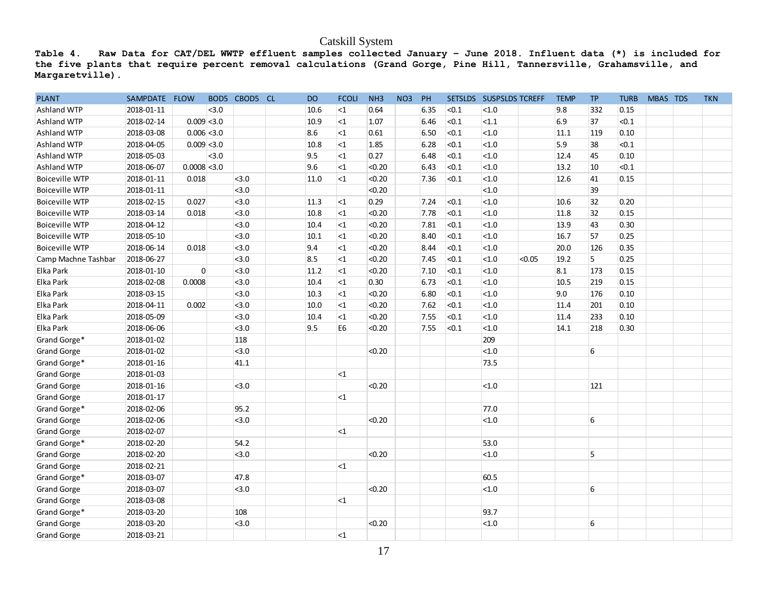| Table 4.<br>the five plants that require percent removal calculations (Grand Gorge, Pine Hill, Tannersville, Grahamsville, and |               |                |                |               |      | Catskill System |        |     |           |       | Raw Data for CAT/DEL WWTP effluent samples collected January - June 2018. Influent data (*) is included for |        |             |     |             |          |            |
|--------------------------------------------------------------------------------------------------------------------------------|---------------|----------------|----------------|---------------|------|-----------------|--------|-----|-----------|-------|-------------------------------------------------------------------------------------------------------------|--------|-------------|-----|-------------|----------|------------|
| Margaretville).                                                                                                                |               |                |                |               |      |                 |        |     |           |       |                                                                                                             |        |             |     |             |          |            |
| <b>PLANT</b>                                                                                                                   | SAMPDATE FLOW |                |                | BOD5 CBOD5 CL | DO   | <b>FCOLI</b>    | NH3    | NO3 | <b>PH</b> |       | SETSLDS SUSPSLDS TCREFF                                                                                     |        | <b>TEMP</b> | TP. | <b>TURB</b> | MBAS TDS | <b>TKN</b> |
| <b>Ashland WTP</b>                                                                                                             | 2018-01-11    |                | <sub>3.0</sub> |               | 10.6 | $<$ 1           | 0.64   |     | 6.35      | < 0.1 | <1.0                                                                                                        |        | 9.8         | 332 | 0.15        |          |            |
| Ashland WTP                                                                                                                    | 2018-02-14    |                | $0.009$ < 3.0  |               | 10.9 | $<$ 1           | 1.07   |     | 6.46      | < 0.1 | <1.1                                                                                                        |        | 6.9         | 37  | < 0.1       |          |            |
| Ashland WTP                                                                                                                    | 2018-03-08    |                | $0.006$ < 3.0  |               | 8.6  | $<$ 1           | 0.61   |     | 6.50      | < 0.1 | < 1.0                                                                                                       |        | 11.1        | 119 | 0.10        |          |            |
| <b>Ashland WTP</b>                                                                                                             | 2018-04-05    |                | $0.009$ < 3.0  |               | 10.8 | $<$ 1           | 1.85   |     | 6.28      | < 0.1 | < 1.0                                                                                                       |        | 5.9         | 38  | < 0.1       |          |            |
| Ashland WTP                                                                                                                    | 2018-05-03    |                | $3.0$          |               | 9.5  | $<$ 1           | 0.27   |     | 6.48      | < 0.1 | < 1.0                                                                                                       |        | 12.4        | 45  | 0.10        |          |            |
| Ashland WTP                                                                                                                    | 2018-06-07    | $0.0008$ < 3.0 |                |               | 9.6  | $<$ 1           | < 0.20 |     | 6.43      | < 0.1 | <1.0                                                                                                        |        | 13.2        | 10  | < 0.1       |          |            |
| <b>Boiceville WTP</b>                                                                                                          | 2018-01-11    | 0.018          |                | 3.0           | 11.0 | $<$ 1           | < 0.20 |     | 7.36      | < 0.1 | <1.0                                                                                                        |        | 12.6        | 41  | 0.15        |          |            |
| <b>Boiceville WTP</b>                                                                                                          | 2018-01-11    |                |                | < 3.0         |      |                 | < 0.20 |     |           |       | < 1.0                                                                                                       |        |             | 39  |             |          |            |
| <b>Boiceville WTP</b>                                                                                                          | 2018-02-15    | 0.027          |                | < 3.0         | 11.3 | $<$ 1           | 0.29   |     | 7.24      | < 0.1 | < 1.0                                                                                                       |        | 10.6        | 32  | 0.20        |          |            |
| <b>Boiceville WTP</b>                                                                                                          | 2018-03-14    | 0.018          |                | < 3.0         | 10.8 | $<$ 1           | < 0.20 |     | 7.78      | < 0.1 | <1.0                                                                                                        |        | 11.8        | 32  | 0.15        |          |            |
| <b>Boiceville WTP</b>                                                                                                          | 2018-04-12    |                |                | < 3.0         | 10.4 | $<$ 1           | < 0.20 |     | 7.81      | < 0.1 | <1.0                                                                                                        |        | 13.9        | 43  | 0.30        |          |            |
| <b>Boiceville WTP</b>                                                                                                          | 2018-05-10    |                |                | < 3.0         | 10.1 | $<$ 1           | < 0.20 |     | 8.40      | < 0.1 | <1.0                                                                                                        |        | 16.7        | 57  | 0.25        |          |            |
| <b>Boiceville WTP</b>                                                                                                          | 2018-06-14    | 0.018          |                | < 3.0         | 9.4  | $<$ 1           | < 0.20 |     | 8.44      | < 0.1 | < 1.0                                                                                                       |        | 20.0        | 126 | 0.35        |          |            |
| Camp Machne Tashbar                                                                                                            | 2018-06-27    |                |                | < 3.0         | 8.5  | $<$ 1           | < 0.20 |     | 7.45      | < 0.1 | < 1.0                                                                                                       | < 0.05 | 19.2        | 5   | 0.25        |          |            |
| Elka Park                                                                                                                      | 2018-01-10    |                | $\overline{0}$ | < 3.0         | 11.2 | $<$ 1           | < 0.20 |     | 7.10      | < 0.1 | < 1.0                                                                                                       |        | 8.1         | 173 | 0.15        |          |            |
| Elka Park                                                                                                                      | 2018-02-08    | 0.0008         |                | < 3.0         | 10.4 | $<$ 1           | 0.30   |     | 6.73      | < 0.1 | <1.0                                                                                                        |        | 10.5        | 219 | 0.15        |          |            |
| Elka Park                                                                                                                      | 2018-03-15    |                |                | < 3.0         | 10.3 | $<$ 1           | < 0.20 |     | 6.80      | < 0.1 | <1.0                                                                                                        |        | 9.0         | 176 | 0.10        |          |            |
| Elka Park                                                                                                                      | 2018-04-11    | 0.002          |                | < 3.0         | 10.0 | $<$ 1           | < 0.20 |     | 7.62      | < 0.1 | <1.0                                                                                                        |        | 11.4        | 201 | 0.10        |          |            |
| Elka Park                                                                                                                      | 2018-05-09    |                |                | $3.0$         | 10.4 | <1              | < 0.20 |     | 7.55      | < 0.1 | <1.0                                                                                                        |        | 11.4        | 233 | 0.10        |          |            |
| Elka Park                                                                                                                      | 2018-06-06    |                |                | $3.0$         | 9.5  | E6              | < 0.20 |     | 7.55      | < 0.1 | <1.0                                                                                                        |        | 14.1        | 218 | 0.30        |          |            |
| Grand Gorge*                                                                                                                   | 2018-01-02    |                |                | 118           |      |                 |        |     |           |       | 209                                                                                                         |        |             |     |             |          |            |
| <b>Grand Gorge</b>                                                                                                             | 2018-01-02    |                |                | $3.0$         |      |                 | < 0.20 |     |           |       | <1.0                                                                                                        |        |             | 6   |             |          |            |
| Grand Gorge*                                                                                                                   | 2018-01-16    |                |                | 41.1          |      |                 |        |     |           |       | 73.5                                                                                                        |        |             |     |             |          |            |
| <b>Grand Gorge</b>                                                                                                             | 2018-01-03    |                |                |               |      | $<$ 1           |        |     |           |       |                                                                                                             |        |             |     |             |          |            |
| <b>Grand Gorge</b>                                                                                                             | 2018-01-16    |                |                | < 3.0         |      |                 | < 0.20 |     |           |       | < 1.0                                                                                                       |        |             | 121 |             |          |            |
| <b>Grand Gorge</b>                                                                                                             | 2018-01-17    |                |                |               |      | $<$ 1           |        |     |           |       |                                                                                                             |        |             |     |             |          |            |
| Grand Gorge*                                                                                                                   | 2018-02-06    |                |                | 95.2          |      |                 |        |     |           |       | 77.0                                                                                                        |        |             |     |             |          |            |
| <b>Grand Gorge</b>                                                                                                             | 2018-02-06    |                |                | < 3.0         |      |                 | < 0.20 |     |           |       | < 1.0                                                                                                       |        |             | 6   |             |          |            |
| <b>Grand Gorge</b>                                                                                                             | 2018-02-07    |                |                |               |      | $<$ 1           |        |     |           |       |                                                                                                             |        |             |     |             |          |            |
| Grand Gorge*                                                                                                                   | 2018-02-20    |                |                | 54.2          |      |                 |        |     |           |       | 53.0                                                                                                        |        |             |     |             |          |            |
| <b>Grand Gorge</b>                                                                                                             | 2018-02-20    |                |                | 3.0           |      |                 | < 0.20 |     |           |       | $<1.0$                                                                                                      |        |             | 5   |             |          |            |
| <b>Grand Gorge</b>                                                                                                             | 2018-02-21    |                |                |               |      | <1              |        |     |           |       |                                                                                                             |        |             |     |             |          |            |
| Grand Gorge*                                                                                                                   | 2018-03-07    |                |                | 47.8          |      |                 |        |     |           |       | 60.5                                                                                                        |        |             |     |             |          |            |
| Grand Gorge                                                                                                                    | 2018-03-07    |                |                | < 3.0         |      |                 | < 0.20 |     |           |       | <1.0                                                                                                        |        |             | 6   |             |          |            |
| <b>Grand Gorge</b>                                                                                                             | 2018-03-08    |                |                |               |      | $\leq$ 1        |        |     |           |       |                                                                                                             |        |             |     |             |          |            |
| Grand Gorge*                                                                                                                   | 2018-03-20    |                |                | 108           |      |                 |        |     |           |       | 93.7                                                                                                        |        |             |     |             |          |            |
| <b>Grand Gorge</b>                                                                                                             | 2018-03-20    |                |                | < 3.0         |      |                 | < 0.20 |     |           |       | < 1.0                                                                                                       |        |             | 6   |             |          |            |
| Grand Gorge                                                                                                                    | 2018-03-21    |                |                |               |      | $<1$            |        |     |           |       |                                                                                                             |        |             |     |             |          |            |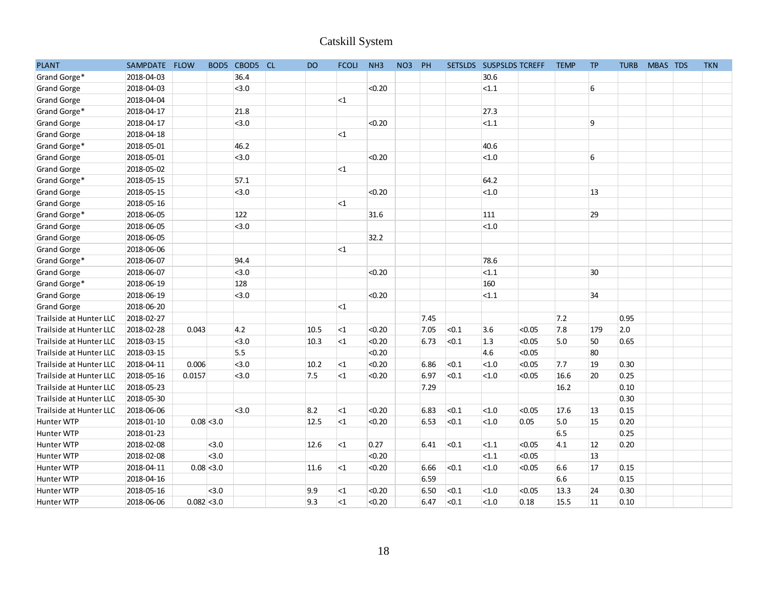|                         |               |               |                |               |           | <b>Catskill System</b> |                 |        |                 |       |                         |        |             |           |             |          |            |  |
|-------------------------|---------------|---------------|----------------|---------------|-----------|------------------------|-----------------|--------|-----------------|-------|-------------------------|--------|-------------|-----------|-------------|----------|------------|--|
| <b>PLANT</b>            | SAMPDATE FLOW |               |                | BOD5 CBOD5 CL | <b>DO</b> | <b>FCOLI</b>           | NH <sub>3</sub> | NO3 PH |                 |       | SETSLDS SUSPSLDS TCREFF |        | <b>TEMP</b> | <b>TP</b> | <b>TURB</b> | MBAS TDS | <b>TKN</b> |  |
| Grand Gorge*            | 2018-04-03    |               |                | 36.4          |           |                        |                 |        |                 |       | 30.6                    |        |             |           |             |          |            |  |
| <b>Grand Gorge</b>      | 2018-04-03    |               |                | < 3.0         |           |                        | < 0.20          |        |                 |       | <1.1                    |        |             | 6         |             |          |            |  |
| <b>Grand Gorge</b>      | 2018-04-04    |               |                |               |           | $<$ 1                  |                 |        |                 |       |                         |        |             |           |             |          |            |  |
| Grand Gorge*            | 2018-04-17    |               |                | 21.8          |           |                        |                 |        |                 |       | 27.3                    |        |             |           |             |          |            |  |
| <b>Grand Gorge</b>      | 2018-04-17    |               |                | < 3.0         |           |                        | < 0.20          |        |                 |       | <1.1                    |        |             | 9         |             |          |            |  |
| <b>Grand Gorge</b>      | 2018-04-18    |               |                |               |           | $<$ 1                  |                 |        |                 |       |                         |        |             |           |             |          |            |  |
| Grand Gorge*            | 2018-05-01    |               |                | 46.2          |           |                        |                 |        |                 |       | 40.6                    |        |             |           |             |          |            |  |
| <b>Grand Gorge</b>      | 2018-05-01    |               |                | < 3.0         |           |                        | < 0.20          |        |                 |       | $<1.0$                  |        |             | 6         |             |          |            |  |
| <b>Grand Gorge</b>      | 2018-05-02    |               |                |               |           | $<$ 1                  |                 |        |                 |       |                         |        |             |           |             |          |            |  |
| Grand Gorge*            | 2018-05-15    |               |                | 57.1          |           |                        |                 |        |                 |       | 64.2                    |        |             |           |             |          |            |  |
| <b>Grand Gorge</b>      | 2018-05-15    |               |                | < 3.0         |           |                        | < 0.20          |        |                 |       | $<1.0$                  |        |             | 13        |             |          |            |  |
| <b>Grand Gorge</b>      | 2018-05-16    |               |                |               |           | $<$ 1                  |                 |        |                 |       |                         |        |             |           |             |          |            |  |
| Grand Gorge*            | 2018-06-05    |               |                | 122           |           |                        | 31.6            |        |                 |       | 111                     |        |             | 29        |             |          |            |  |
| <b>Grand Gorge</b>      | 2018-06-05    |               |                | < 3.0         |           |                        |                 |        |                 |       | $<1.0$                  |        |             |           |             |          |            |  |
| <b>Grand Gorge</b>      | 2018-06-05    |               |                |               |           |                        | 32.2            |        |                 |       |                         |        |             |           |             |          |            |  |
| <b>Grand Gorge</b>      | 2018-06-06    |               |                |               |           | $<$ 1                  |                 |        |                 |       |                         |        |             |           |             |          |            |  |
| Grand Gorge*            | 2018-06-07    |               |                | 94.4          |           |                        |                 |        |                 |       | 78.6                    |        |             |           |             |          |            |  |
| <b>Grand Gorge</b>      | 2018-06-07    |               |                | < 3.0         |           |                        | < 0.20          |        |                 |       | <1.1                    |        |             | 30        |             |          |            |  |
| Grand Gorge*            | 2018-06-19    |               |                | 128           |           |                        |                 |        |                 |       | 160                     |        |             |           |             |          |            |  |
| <b>Grand Gorge</b>      | 2018-06-19    |               |                | < 3.0         |           |                        | < 0.20          |        |                 |       | <1.1                    |        |             | 34        |             |          |            |  |
| <b>Grand Gorge</b>      | 2018-06-20    |               |                |               |           | $<$ 1                  |                 |        |                 |       |                         |        |             |           |             |          |            |  |
| Trailside at Hunter LLC | 2018-02-27    |               |                |               |           |                        |                 |        | 7.45            |       |                         |        | 7.2         |           | 0.95        |          |            |  |
| Trailside at Hunter LLC | 2018-02-28    | 0.043         |                | 4.2           | 10.5      | $\leq$ 1               | < 0.20          |        | 7.05            | < 0.1 | 3.6                     | < 0.05 | 7.8         | 179       | 2.0         |          |            |  |
| Trailside at Hunter LLC | 2018-03-15    |               |                | < 3.0         | 10.3      | $<$ 1                  | < 0.20          |        | 6.73            | < 0.1 | 1.3                     | < 0.05 | 5.0         | 50        | 0.65        |          |            |  |
| Trailside at Hunter LLC | 2018-03-15    |               |                | 5.5           |           |                        | < 0.20          |        |                 |       | 4.6                     | < 0.05 |             | 80        |             |          |            |  |
| Trailside at Hunter LLC | 2018-04-11    | 0.006         |                | < 3.0         | 10.2      | $<$ 1                  | < 0.20          |        | 6.86            | < 0.1 | <1.0                    | < 0.05 | 7.7         | 19        | 0.30        |          |            |  |
| Trailside at Hunter LLC | 2018-05-16    | 0.0157        |                | < 3.0         | 7.5       | $<$ 1                  | < 0.20          |        | 6.97            | < 0.1 | < 1.0                   | < 0.05 | 16.6        | 20        | 0.25        |          |            |  |
| Trailside at Hunter LLC | 2018-05-23    |               |                |               |           |                        |                 |        | 7.29            |       |                         |        | 16.2        |           | 0.10        |          |            |  |
| Trailside at Hunter LLC | 2018-05-30    |               |                |               |           |                        |                 |        |                 |       |                         |        |             |           | 0.30        |          |            |  |
| Trailside at Hunter LLC | 2018-06-06    |               |                | < 3.0         | 8.2       | $\leq$ 1               | < 0.20          |        | 6.83            | < 0.1 | < 1.0                   | < 0.05 | 17.6        | 13        | 0.15        |          |            |  |
| Hunter WTP              | 2018-01-10    |               | $0.08$ < 3.0   |               | 12.5      | $<1$                   | < 0.20          |        | $6.53 \t < 0.1$ |       | <sub>1.0</sub>          | 0.05   | 5.0         | 15        | 0.20        |          |            |  |
| Hunter WTP              | 2018-01-23    |               |                |               |           |                        |                 |        |                 |       |                         |        | 6.5         |           | 0.25        |          |            |  |
| Hunter WTP              | 2018-02-08    |               | <sub>3.0</sub> |               | 12.6      | $\leq$ 1               | 0.27            |        | 6.41            | <0.1  | $ $ < 1.1               | < 0.05 | 4.1         | 12        | 0.20        |          |            |  |
| Hunter WTP              | 2018-02-08    |               | <sub>3.0</sub> |               |           |                        | < 0.20          |        |                 |       | $ $ < 1.1               | < 0.05 |             | 13        |             |          |            |  |
| Hunter WTP              | 2018-04-11    |               | $0.08$ < 3.0   |               | 11.6      | $\leq$ 1               | < 0.20          |        | 6.66            | <0.1  | <sub>1.0</sub>          | < 0.05 | 6.6         | 17        | 0.15        |          |            |  |
| Hunter WTP              | 2018-04-16    |               |                |               |           |                        |                 |        | 6.59            |       |                         |        | 6.6         |           | 0.15        |          |            |  |
| Hunter WTP              | 2018-05-16    |               | <sub>3.0</sub> |               | 9.9       | $\leq$ 1               | < 0.20          |        | 6.50            | <0.1  | <sub>1.0</sub>          | < 0.05 | 13.3        | 24        | 0.30        |          |            |  |
| Hunter WTP              | 2018-06-06    | $0.082$ < 3.0 |                |               | 9.3       | $\leq$ 1               | < 0.20          |        | $6.47$ < 0.1    |       | $ $ < 1.0               | 0.18   | 15.5        | 11        | 0.10        |          |            |  |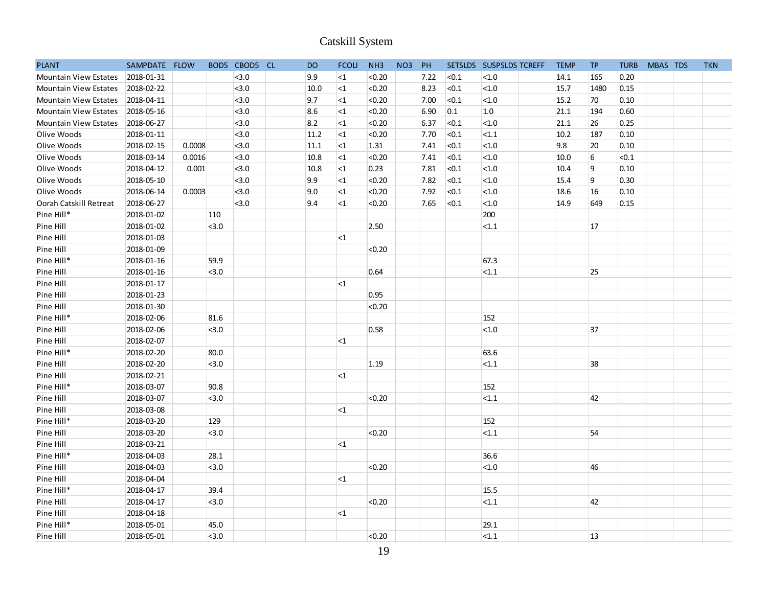|                              |               |        |                  |          |           | Catskill System |                 |                 |        |       |                         |             |           |             |          |            |
|------------------------------|---------------|--------|------------------|----------|-----------|-----------------|-----------------|-----------------|--------|-------|-------------------------|-------------|-----------|-------------|----------|------------|
| <b>PLANT</b>                 | SAMPDATE FLOW |        | BOD <sub>5</sub> | CBOD5 CL | <b>DO</b> | <b>FCOLI</b>    | NH <sub>3</sub> | NO <sub>3</sub> | PH     |       | SETSLDS SUSPSLDS TCREFF | <b>TEMP</b> | <b>TP</b> | <b>TURB</b> | MBAS TDS | <b>TKN</b> |
| Mountain View Estates        | 2018-01-31    |        |                  | < 3.0    | 9.9       | ${<}1$          | < 0.20          |                 | $7.22$ | < 0.1 | < 1.0                   | 14.1        | 165       | 0.20        |          |            |
| Mountain View Estates        | 2018-02-22    |        |                  | < 3.0    | 10.0      | $\leq$ 1        | < 0.20          |                 | 8.23   | < 0.1 | < 1.0                   | 15.7        | 1480      | 0.15        |          |            |
| Mountain View Estates        | 2018-04-11    |        |                  | < 3.0    | 9.7       | <1              | < 0.20          |                 | 7.00   | < 0.1 | < 1.0                   | 15.2        | 70        | 0.10        |          |            |
| <b>Mountain View Estates</b> | 2018-05-16    |        |                  | < 3.0    | 8.6       | ${<}1$          | < 0.20          |                 | 6.90   | 0.1   | 1.0                     | 21.1        | 194       | 0.60        |          |            |
| <b>Mountain View Estates</b> | 2018-06-27    |        |                  | 3.0      | 8.2       | ${<}1$          | < 0.20          |                 | 6.37   | < 0.1 | < 1.0                   | 21.1        | 26        | 0.25        |          |            |
| Olive Woods                  | 2018-01-11    |        |                  | < 3.0    | $11.2$    | $\leq$ 1        | < 0.20          |                 | 7.70   | < 0.1 | < 1.1                   | 10.2        | 187       | 0.10        |          |            |
| Olive Woods                  | 2018-02-15    | 0.0008 |                  | 3.0      | $11.1$    | <1              | 1.31            |                 | 7.41   | < 0.1 | < 1.0                   | 9.8         | 20        | 0.10        |          |            |
| Olive Woods                  | 2018-03-14    | 0.0016 |                  | < 3.0    | 10.8      | $\leq$ 1        | < 0.20          |                 | 7.41   | < 0.1 | < 1.0                   | 10.0        | 6         | < 0.1       |          |            |
| Olive Woods                  | 2018-04-12    | 0.001  |                  | < 3.0    | 10.8      | $\leq$ 1        | 0.23            |                 | 7.81   | < 0.1 | < 1.0                   | 10.4        | 9         | 0.10        |          |            |
| Olive Woods                  | 2018-05-10    |        |                  | $3.0$    | 9.9       | ${<}1$          | < 0.20          |                 | 7.82   | < 0.1 | $<1.0$                  | 15.4        | 9         | 0.30        |          |            |
| Olive Woods                  | 2018-06-14    | 0.0003 |                  | < 3.0    | 9.0       | $<$ 1           | < 0.20          |                 | 7.92   | < 0.1 | < 1.0                   | 18.6        | 16        | 0.10        |          |            |
| Oorah Catskill Retreat       | 2018-06-27    |        |                  | < 3.0    | 9.4       | $<$ 1           | < 0.20          |                 | 7.65   | < 0.1 | $<1.0$                  | 14.9        | 649       | 0.15        |          |            |
| Pine Hill*                   | 2018-01-02    |        | 110              |          |           |                 |                 |                 |        |       | 200                     |             |           |             |          |            |
| Pine Hill                    | 2018-01-02    |        | < 3.0            |          |           |                 | 2.50            |                 |        |       | <1.1                    |             | 17        |             |          |            |
| Pine Hill                    | 2018-01-03    |        |                  |          |           | $<$ 1           |                 |                 |        |       |                         |             |           |             |          |            |
| Pine Hill                    | 2018-01-09    |        |                  |          |           |                 | < 0.20          |                 |        |       |                         |             |           |             |          |            |
| Pine Hill*                   | 2018-01-16    |        | 59.9             |          |           |                 |                 |                 |        |       | 67.3                    |             |           |             |          |            |
| Pine Hill                    | 2018-01-16    |        | $3.0$            |          |           |                 | 0.64            |                 |        |       | < 1.1                   |             | 25        |             |          |            |
| Pine Hill                    | 2018-01-17    |        |                  |          |           | $<$ 1           |                 |                 |        |       |                         |             |           |             |          |            |
| Pine Hill                    | 2018-01-23    |        |                  |          |           |                 | 0.95            |                 |        |       |                         |             |           |             |          |            |
| Pine Hill                    | 2018-01-30    |        |                  |          |           |                 | < 0.20          |                 |        |       |                         |             |           |             |          |            |
| Pine Hill*                   | 2018-02-06    |        | 81.6             |          |           |                 |                 |                 |        |       | 152                     |             |           |             |          |            |
| Pine Hill                    | 2018-02-06    |        | < 3.0            |          |           |                 | 0.58            |                 |        |       | $<1.0$                  |             | 37        |             |          |            |
| Pine Hill                    | 2018-02-07    |        |                  |          |           | $<$ 1           |                 |                 |        |       |                         |             |           |             |          |            |
| Pine Hill*                   | 2018-02-20    |        | 80.0             |          |           |                 |                 |                 |        |       | 63.6                    |             |           |             |          |            |
| Pine Hill                    | 2018-02-20    |        | < 3.0            |          |           |                 | 1.19            |                 |        |       | < 1.1                   |             | 38        |             |          |            |
| Pine Hill                    | 2018-02-21    |        |                  |          |           | $\leq$ 1        |                 |                 |        |       |                         |             |           |             |          |            |
| Pine Hill*                   | 2018-03-07    |        | 90.8             |          |           |                 |                 |                 |        |       | 152                     |             |           |             |          |            |
| Pine Hill                    | 2018-03-07    |        | $3.0$            |          |           |                 | < 0.20          |                 |        |       | <1.1                    |             | 42        |             |          |            |
| Pine Hill                    | 2018-03-08    |        |                  |          |           | $<$ 1           |                 |                 |        |       |                         |             |           |             |          |            |
| Pine Hill*                   | 2018-03-20    |        | 129              |          |           |                 |                 |                 |        |       | 152                     |             |           |             |          |            |
| Pine Hill                    | 2018-03-20    |        | $3.0$            |          |           |                 | < 0.20          |                 |        |       | <1.1                    |             | 54        |             |          |            |
| Pine Hill                    | 2018-03-21    |        |                  |          |           | $\leq$ 1        |                 |                 |        |       |                         |             |           |             |          |            |
| Pine Hill*                   | 2018-04-03    |        | 28.1             |          |           |                 |                 |                 |        |       | 36.6                    |             |           |             |          |            |
| Pine Hill                    | 2018-04-03    |        | $ $ < 3.0        |          |           |                 | < 0.20          |                 |        |       | <sub>1.0</sub>          |             | 46        |             |          |            |
| Pine Hill                    | 2018-04-04    |        |                  |          |           | $\leq$ 1        |                 |                 |        |       |                         |             |           |             |          |            |
| Pine Hill*                   | 2018-04-17    |        | 39.4             |          |           |                 |                 |                 |        |       | 15.5                    |             |           |             |          |            |
| Pine Hill                    | 2018-04-17    |        | $ $ < 3.0        |          |           |                 | < 0.20          |                 |        |       | $ $ < 1.1               |             | 42        |             |          |            |
| Pine Hill                    | 2018-04-18    |        |                  |          |           | <sub>1</sub>    |                 |                 |        |       |                         |             |           |             |          |            |
| Pine Hill*                   | 2018-05-01    |        | 45.0             |          |           |                 |                 |                 |        |       | 29.1                    |             |           |             |          |            |
| Pine Hill                    | 2018-05-01    |        | $ $ < 3.0        |          |           |                 | < 0.20          |                 |        |       | <1.1                    |             | 13        |             |          |            |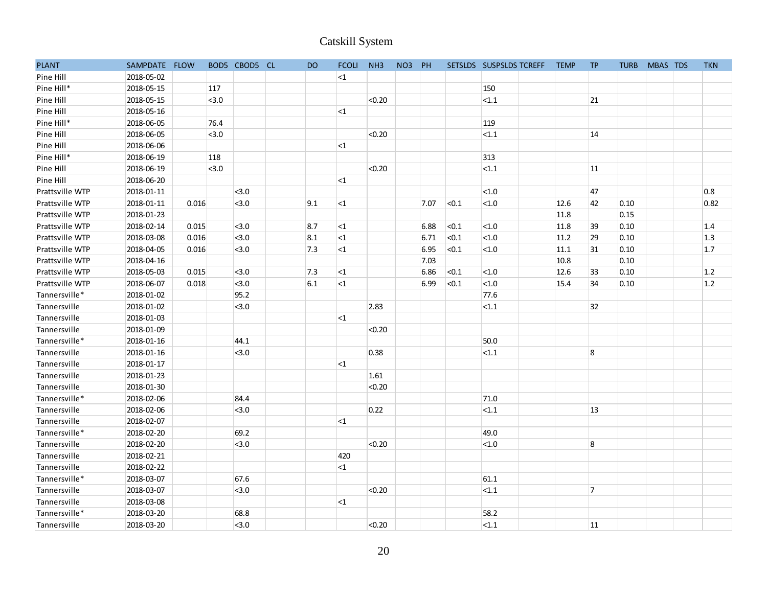|                 |               |       |       |                |           | <b>Catskill System</b> |                 |        |      |                |                         |             |                  |             |          |            |  |
|-----------------|---------------|-------|-------|----------------|-----------|------------------------|-----------------|--------|------|----------------|-------------------------|-------------|------------------|-------------|----------|------------|--|
| <b>PLANT</b>    | SAMPDATE FLOW |       |       | BOD5 CBOD5 CL  | <b>DO</b> | <b>FCOLI</b>           | NH <sub>3</sub> | NO3 PH |      |                | SETSLDS SUSPSLDS TCREFF | <b>TEMP</b> | <b>TP</b>        | <b>TURB</b> | MBAS TDS | <b>TKN</b> |  |
| Pine Hill       | 2018-05-02    |       |       |                |           | ${<}1$                 |                 |        |      |                |                         |             |                  |             |          |            |  |
| Pine Hill*      | 2018-05-15    |       | 117   |                |           |                        |                 |        |      |                | 150                     |             |                  |             |          |            |  |
| Pine Hill       | 2018-05-15    |       | < 3.0 |                |           |                        | < 0.20          |        |      |                | < 1.1                   |             | 21               |             |          |            |  |
| Pine Hill       | 2018-05-16    |       |       |                |           | <1                     |                 |        |      |                |                         |             |                  |             |          |            |  |
| Pine Hill*      | 2018-06-05    |       | 76.4  |                |           |                        |                 |        |      |                | 119                     |             |                  |             |          |            |  |
| Pine Hill       | 2018-06-05    |       | < 3.0 |                |           |                        | < 0.20          |        |      |                | < 1.1                   |             | 14               |             |          |            |  |
| Pine Hill       | 2018-06-06    |       |       |                |           | <1                     |                 |        |      |                |                         |             |                  |             |          |            |  |
| Pine Hill*      | 2018-06-19    |       | 118   |                |           |                        |                 |        |      |                | 313                     |             |                  |             |          |            |  |
| Pine Hill       | 2018-06-19    |       | < 3.0 |                |           |                        | < 0.20          |        |      |                | <1.1                    |             | 11               |             |          |            |  |
| Pine Hill       | 2018-06-20    |       |       |                |           | $\leq$ 1               |                 |        |      |                |                         |             |                  |             |          |            |  |
| Prattsville WTP | 2018-01-11    |       |       | < 3.0          |           |                        |                 |        |      |                | $<1.0$                  |             | 47               |             |          | 0.8        |  |
| Prattsville WTP | 2018-01-11    | 0.016 |       | < 3.0          | 9.1       | $\leq$ 1               |                 |        | 7.07 | < 0.1          | $<1.0$                  | 12.6        | 42               | 0.10        |          | 0.82       |  |
| Prattsville WTP | 2018-01-23    |       |       |                |           |                        |                 |        |      |                |                         | 11.8        |                  | 0.15        |          |            |  |
| Prattsville WTP | 2018-02-14    | 0.015 |       | < 3.0          | 8.7       | <sub>1</sub>           |                 |        | 6.88 | < 0.1          | <1.0                    | 11.8        | 39               | 0.10        |          | 1.4        |  |
| Prattsville WTP | 2018-03-08    | 0.016 |       | < 3.0          | 8.1       | ${<}1$                 |                 |        | 6.71 | < 0.1          | $<1.0$                  | 11.2        | 29               | 0.10        |          | 1.3        |  |
| Prattsville WTP | 2018-04-05    | 0.016 |       | < 3.0          | 7.3       | ${<}1$                 |                 |        | 6.95 | < 0.1          | $<1.0$                  | 11.1        | 31               | 0.10        |          | 1.7        |  |
| Prattsville WTP | 2018-04-16    |       |       |                |           |                        |                 |        | 7.03 |                |                         | 10.8        |                  | 0.10        |          |            |  |
| Prattsville WTP | 2018-05-03    | 0.015 |       | < 3.0          | 7.3       | <sub>1</sub>           |                 |        | 6.86 | <sub>0.1</sub> | $<1.0$                  | 12.6        | 33               | 0.10        |          | 1.2        |  |
| Prattsville WTP | 2018-06-07    | 0.018 |       | < 3.0          | 6.1       | ${<}1$                 |                 |        | 6.99 | < 0.1          | $<1.0$                  | 15.4        | 34               | 0.10        |          | 1.2        |  |
| Tannersville*   | 2018-01-02    |       |       | 95.2           |           |                        |                 |        |      |                | 77.6                    |             |                  |             |          |            |  |
| Tannersville    | 2018-01-02    |       |       | < 3.0          |           |                        | 2.83            |        |      |                | < 1.1                   |             | 32               |             |          |            |  |
| Tannersville    | 2018-01-03    |       |       |                |           | $<$ 1                  |                 |        |      |                |                         |             |                  |             |          |            |  |
| Tannersville    | 2018-01-09    |       |       |                |           |                        | < 0.20          |        |      |                |                         |             |                  |             |          |            |  |
| Tannersville*   | 2018-01-16    |       |       | 44.1           |           |                        |                 |        |      |                | 50.0                    |             |                  |             |          |            |  |
| Tannersville    | 2018-01-16    |       |       | < 3.0          |           |                        | 0.38            |        |      |                | < 1.1                   |             | 8                |             |          |            |  |
| Tannersville    | 2018-01-17    |       |       |                |           | <1                     |                 |        |      |                |                         |             |                  |             |          |            |  |
| Tannersville    | 2018-01-23    |       |       |                |           |                        | 1.61            |        |      |                |                         |             |                  |             |          |            |  |
| Tannersville    | 2018-01-30    |       |       |                |           |                        | < 0.20          |        |      |                |                         |             |                  |             |          |            |  |
| Tannersville*   | 2018-02-06    |       |       | 84.4           |           |                        |                 |        |      |                | 71.0                    |             |                  |             |          |            |  |
| Tannersville    | 2018-02-06    |       |       | < 3.0          |           |                        | 0.22            |        |      |                | < 1.1                   |             | 13               |             |          |            |  |
| Tannersville    | 2018-02-07    |       |       |                |           | $\leq$                 |                 |        |      |                |                         |             |                  |             |          |            |  |
| Tannersville*   | 2018-02-20    |       |       | 69.2           |           |                        |                 |        |      |                | 49.0                    |             |                  |             |          |            |  |
| Tannersville    | 2018-02-20    |       |       | $ $ < 3.0      |           |                        | < 0.20          |        |      |                | <sub>1.0</sub>          |             | $\boldsymbol{8}$ |             |          |            |  |
| Tannersville    | 2018-02-21    |       |       |                |           | 420                    |                 |        |      |                |                         |             |                  |             |          |            |  |
| Tannersville    | 2018-02-22    |       |       |                |           | <sub>1</sub>           |                 |        |      |                |                         |             |                  |             |          |            |  |
| Tannersville*   | 2018-03-07    |       |       | 67.6           |           |                        |                 |        |      |                | 61.1                    |             |                  |             |          |            |  |
| Tannersville    | 2018-03-07    |       |       | <sub>3.0</sub> |           |                        | < 0.20          |        |      |                | $ $ < 1.1               |             | 7                |             |          |            |  |
| Tannersville    | 2018-03-08    |       |       |                |           | <sub>1</sub>           |                 |        |      |                |                         |             |                  |             |          |            |  |
| Tannersville*   | 2018-03-20    |       |       | 68.8           |           |                        |                 |        |      |                | 58.2                    |             |                  |             |          |            |  |
| Tannersville    | 2018-03-20    |       |       | $ $ < 3.0      |           |                        | < 0.20          |        |      |                | <1.1                    |             | 11               |             |          |            |  |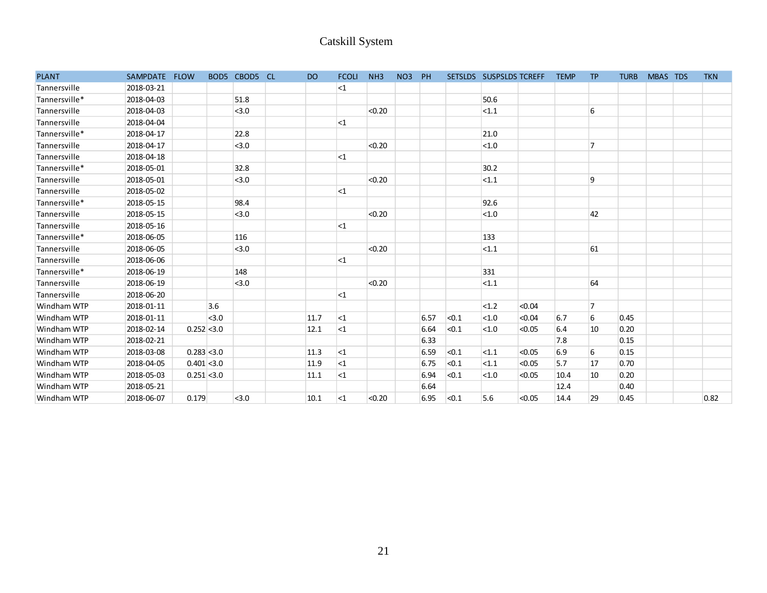|               |               |               |       |               |           | Catskill System |        |                 |      |       |                         |        |             |                |             |          |            |
|---------------|---------------|---------------|-------|---------------|-----------|-----------------|--------|-----------------|------|-------|-------------------------|--------|-------------|----------------|-------------|----------|------------|
|               |               |               |       |               |           |                 |        |                 |      |       |                         |        |             |                |             |          |            |
| <b>PLANT</b>  | SAMPDATE FLOW |               |       | BOD5 CBOD5 CL | <b>DO</b> | <b>FCOLI</b>    | NH3    | NO <sub>3</sub> | PH   |       | SETSLDS SUSPSLDS TCREFF |        | <b>TEMP</b> | <b>TP</b>      | <b>TURB</b> | MBAS TDS | <b>TKN</b> |
| Tannersville  | 2018-03-21    |               |       |               |           | $<1$            |        |                 |      |       |                         |        |             |                |             |          |            |
| Tannersville* | 2018-04-03    |               |       | 51.8          |           |                 |        |                 |      |       | 50.6                    |        |             |                |             |          |            |
| Tannersville  | 2018-04-03    |               |       | < 3.0         |           |                 | < 0.20 |                 |      |       | <1.1                    |        |             | 6              |             |          |            |
| Tannersville  | 2018-04-04    |               |       |               |           | $<$ 1           |        |                 |      |       |                         |        |             |                |             |          |            |
| Tannersville* | 2018-04-17    |               |       | 22.8          |           |                 |        |                 |      |       | 21.0                    |        |             |                |             |          |            |
| Tannersville  | 2018-04-17    |               |       | < 3.0         |           |                 | < 0.20 |                 |      |       | < 1.0                   |        |             | 7              |             |          |            |
| Tannersville  | 2018-04-18    |               |       |               |           | $<$ 1           |        |                 |      |       |                         |        |             |                |             |          |            |
| Tannersville* | 2018-05-01    |               |       | 32.8          |           |                 |        |                 |      |       | 30.2                    |        |             |                |             |          |            |
| Tannersville  | 2018-05-01    |               |       | < 3.0         |           |                 | < 0.20 |                 |      |       | <1.1                    |        |             | 9              |             |          |            |
| Tannersville  | 2018-05-02    |               |       |               |           | $<$ 1           |        |                 |      |       |                         |        |             |                |             |          |            |
| Tannersville* | 2018-05-15    |               |       | 98.4          |           |                 |        |                 |      |       | 92.6                    |        |             |                |             |          |            |
| Tannersville  | 2018-05-15    |               |       | < 3.0         |           |                 | < 0.20 |                 |      |       | $<1.0$                  |        |             | 42             |             |          |            |
| Tannersville  | 2018-05-16    |               |       |               |           | $\leq$ 1        |        |                 |      |       |                         |        |             |                |             |          |            |
| Tannersville* | 2018-06-05    |               |       | 116           |           |                 |        |                 |      |       | 133                     |        |             |                |             |          |            |
| Tannersville  | 2018-06-05    |               |       | < 3.0         |           |                 | < 0.20 |                 |      |       | < 1.1                   |        |             | 61             |             |          |            |
| Tannersville  | 2018-06-06    |               |       |               |           | $<$ 1           |        |                 |      |       |                         |        |             |                |             |          |            |
| Tannersville* | 2018-06-19    |               |       | 148           |           |                 |        |                 |      |       | 331                     |        |             |                |             |          |            |
| Tannersville  | 2018-06-19    |               |       | < 3.0         |           |                 | < 0.20 |                 |      |       | < 1.1                   |        |             | 64             |             |          |            |
| Tannersville  | 2018-06-20    |               |       |               |           | $<$ 1           |        |                 |      |       |                         |        |             |                |             |          |            |
| Windham WTP   | 2018-01-11    |               | 3.6   |               |           |                 |        |                 |      |       | <1.2                    | < 0.04 |             | $\overline{7}$ |             |          |            |
| Windham WTP   | 2018-01-11    |               | < 3.0 |               | 11.7      | ${<}1$          |        |                 | 6.57 | < 0.1 | $<1.0$                  | < 0.04 | 6.7         | 6              | 0.45        |          |            |
| Windham WTP   | 2018-02-14    | $0.252$ < 3.0 |       |               | 12.1      | $\leq$ 1        |        |                 | 6.64 | < 0.1 | < 1.0                   | < 0.05 | 6.4         | $10\,$         | 0.20        |          |            |
| Windham WTP   | 2018-02-21    |               |       |               |           |                 |        |                 | 6.33 |       |                         |        | 7.8         |                | 0.15        |          |            |
| Windham WTP   | 2018-03-08    | $0.283$ < 3.0 |       |               | 11.3      | $<$ 1           |        |                 | 6.59 | < 0.1 | <1.1                    | < 0.05 | 6.9         | 6              | 0.15        |          |            |
| Windham WTP   | 2018-04-05    | $0.401$ < 3.0 |       |               | 11.9      | $<$ 1           |        |                 | 6.75 | < 0.1 | <1.1                    | < 0.05 | 5.7         | 17             | 0.70        |          |            |
| Windham WTP   | 2018-05-03    | $0.251$ < 3.0 |       |               | 11.1      | $<$ 1           |        |                 | 6.94 | < 0.1 | < 1.0                   | < 0.05 | 10.4        | 10             | 0.20        |          |            |
| Windham WTP   | 2018-05-21    |               |       |               |           |                 |        |                 | 6.64 |       |                         |        | 12.4        |                | 0.40        |          |            |
| Windham WTP   | 2018-06-07    | 0.179         |       | < 3.0         | 10.1      | $<$ 1           | < 0.20 |                 | 6.95 | < 0.1 | 5.6                     | < 0.05 | 14.4        | 29             | 0.45        |          | 0.82       |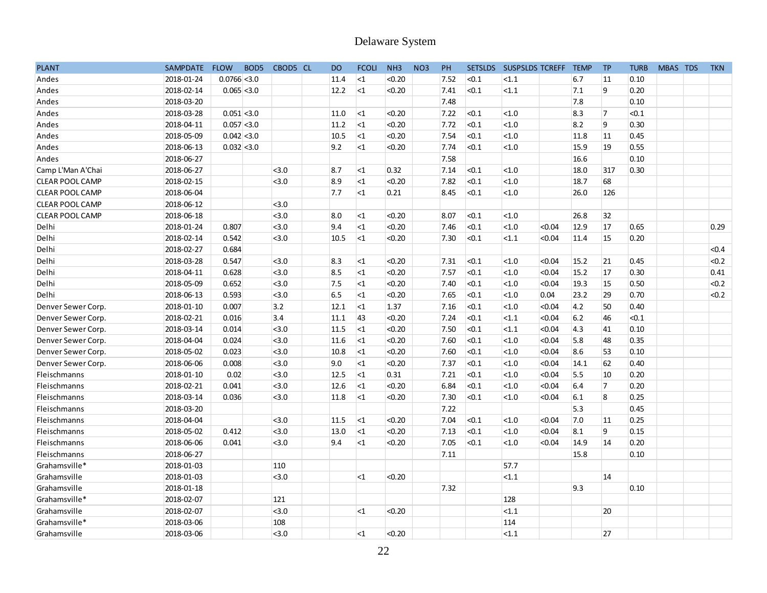|                        |            |                |                  |          |           | Delaware System |                 |                 |      |       |       |                         |             |           |             |          |            |
|------------------------|------------|----------------|------------------|----------|-----------|-----------------|-----------------|-----------------|------|-------|-------|-------------------------|-------------|-----------|-------------|----------|------------|
| <b>PLANT</b>           | SAMPDATE   | <b>FLOW</b>    | BOD <sub>5</sub> | CBOD5 CL | <b>DO</b> | <b>FCOLI</b>    | NH <sub>3</sub> | NO <sub>3</sub> | PH   |       |       | SETSLDS SUSPSLDS TCREFF | <b>TEMP</b> | <b>TP</b> | <b>TURB</b> | MBAS TDS | <b>TKN</b> |
| Andes                  | 2018-01-24 | $0.0766$ < 3.0 |                  |          | 11.4      | ${<}1$          | < 0.20          |                 | 7.52 | < 0.1 | < 1.1 |                         | 6.7         | 11        | 0.10        |          |            |
| Andes                  | 2018-02-14 | $0.065$ < 3.0  |                  |          | 12.2      | $<$ 1           | < 0.20          |                 | 7.41 | < 0.1 | < 1.1 |                         | 7.1         | 9         | 0.20        |          |            |
| Andes                  | 2018-03-20 |                |                  |          |           |                 |                 |                 | 7.48 |       |       |                         | 7.8         |           | 0.10        |          |            |
| Andes                  | 2018-03-28 | $0.051$ < 3.0  |                  |          | 11.0      | $<$ 1           | < 0.20          |                 | 7.22 | < 0.1 | < 1.0 |                         | 8.3         | 7         | < 0.1       |          |            |
| Andes                  | 2018-04-11 | $0.057$ < 3.0  |                  |          | 11.2      | ${<}1$          | < 0.20          |                 | 7.72 | < 0.1 | < 1.0 |                         | 8.2         | 9         | 0.30        |          |            |
| Andes                  | 2018-05-09 | $0.042$ < 3.0  |                  |          | 10.5      | ${<}1$          | < 0.20          |                 | 7.54 | < 0.1 | < 1.0 |                         | 11.8        | 11        | 0.45        |          |            |
| Andes                  | 2018-06-13 | $0.032$ < 3.0  |                  |          | 9.2       | $\leq$ 1        | < 0.20          |                 | 7.74 | < 0.1 | < 1.0 |                         | 15.9        | 19        | 0.55        |          |            |
| Andes                  | 2018-06-27 |                |                  |          |           |                 |                 |                 | 7.58 |       |       |                         | 16.6        |           | 0.10        |          |            |
| Camp L'Man A'Chai      | 2018-06-27 |                |                  | < 3.0    | 8.7       | $<$ 1           | 0.32            |                 | 7.14 | < 0.1 | < 1.0 |                         | 18.0        | 317       | 0.30        |          |            |
| CLEAR POOL CAMP        | 2018-02-15 |                |                  | 3.0      | 8.9       | $<$ 1           | < 0.20          |                 | 7.82 | < 0.1 | < 1.0 |                         | 18.7        | 68        |             |          |            |
| <b>CLEAR POOL CAMP</b> | 2018-06-04 |                |                  |          | 7.7       | $<$ 1           | 0.21            |                 | 8.45 | < 0.1 | < 1.0 |                         | 26.0        | 126       |             |          |            |
| CLEAR POOL CAMP        | 2018-06-12 |                |                  | < 3.0    |           |                 |                 |                 |      |       |       |                         |             |           |             |          |            |
| CLEAR POOL CAMP        | 2018-06-18 |                |                  | < 3.0    | 8.0       | $<$ 1           | < 0.20          |                 | 8.07 | < 0.1 | < 1.0 |                         | 26.8        | 32        |             |          |            |
| Delhi                  | 2018-01-24 | 0.807          |                  | 3.0      | 9.4       | <1              | < 0.20          |                 | 7.46 | < 0.1 | < 1.0 | < 0.04                  | 12.9        | 17        | 0.65        |          | 0.29       |
| Delhi                  | 2018-02-14 | 0.542          |                  | 3.0      | 10.5      | $<$ 1           | < 0.20          |                 | 7.30 | < 0.1 | < 1.1 | < 0.04                  | 11.4        | 15        | 0.20        |          |            |
| Delhi                  | 2018-02-27 | 0.684          |                  |          |           |                 |                 |                 |      |       |       |                         |             |           |             |          | < 0.4      |
| Delhi                  | 2018-03-28 | 0.547          |                  | 3.0      | 8.3       | $<$ 1           | < 0.20          |                 | 7.31 | < 0.1 | < 1.0 | < 0.04                  | 15.2        | 21        | 0.45        |          | < 0.2      |
| Delhi                  | 2018-04-11 | 0.628          |                  | 3.0      | 8.5       | $<$ 1           | < 0.20          |                 | 7.57 | < 0.1 | < 1.0 | < 0.04                  | 15.2        | 17        | 0.30        |          | 0.41       |
| Delhi                  | 2018-05-09 | 0.652          |                  | < 3.0    | 7.5       | $<$ 1           | < 0.20          |                 | 7.40 | < 0.1 | < 1.0 | < 0.04                  | 19.3        | 15        | 0.50        |          | < 0.2      |
| Delhi                  | 2018-06-13 | 0.593          |                  | < 3.0    | 6.5       | $<$ 1           | < 0.20          |                 | 7.65 | < 0.1 | < 1.0 | 0.04                    | 23.2        | 29        | 0.70        |          | < 0.2      |
| Denver Sewer Corp.     | 2018-01-10 | 0.007          |                  | 3.2      | 12.1      | $\leq$ 1        | 1.37            |                 | 7.16 | < 0.1 | < 1.0 | < 0.04                  | 4.2         | 50        | 0.40        |          |            |
| Denver Sewer Corp.     | 2018-02-21 | 0.016          |                  | 3.4      | 11.1      | 43              | < 0.20          |                 | 7.24 | < 0.1 | < 1.1 | < 0.04                  | 6.2         | 46        | < 0.1       |          |            |
| Denver Sewer Corp.     | 2018-03-14 | 0.014          |                  | < 3.0    | 11.5      | <sub>1</sub>    | < 0.20          |                 | 7.50 | < 0.1 | < 1.1 | < 0.04                  | 4.3         | 41        | 0.10        |          |            |
| Denver Sewer Corp.     | 2018-04-04 | 0.024          |                  | < 3.0    | 11.6      | $\leq$ 1        | < 0.20          |                 | 7.60 | < 0.1 | < 1.0 | < 0.04                  | 5.8         | 48        | 0.35        |          |            |
| Denver Sewer Corp.     | 2018-05-02 | 0.023          |                  | < 3.0    | 10.8      | ${<}1$          | < 0.20          |                 | 7.60 | < 0.1 | < 1.0 | < 0.04                  | 8.6         | 53        | 0.10        |          |            |
| Denver Sewer Corp.     | 2018-06-06 | 0.008          |                  | < 3.0    | 9.0       | $<$ 1           | < 0.20          |                 | 7.37 | < 0.1 | < 1.0 | < 0.04                  | 14.1        | 62        | 0.40        |          |            |
| Fleischmanns           | 2018-01-10 | 0.02           |                  | < 3.0    | 12.5      | ${<}1$          | 0.31            |                 | 7.21 | < 0.1 | < 1.0 | < 0.04                  | 5.5         | 10        | 0.20        |          |            |
| Fleischmanns           | 2018-02-21 | 0.041          |                  | < 3.0    | 12.6      | ${<}1$          | < 0.20          |                 | 6.84 | < 0.1 | < 1.0 | < 0.04                  | 6.4         | 7         | 0.20        |          |            |
| Fleischmanns           | 2018-03-14 | 0.036          |                  | < 3.0    | 11.8      | $<$ 1           | < 0.20          |                 | 7.30 | < 0.1 | < 1.0 | < 0.04                  | 6.1         | 8         | 0.25        |          |            |
| Fleischmanns           | 2018-03-20 |                |                  |          |           |                 |                 |                 | 7.22 |       |       |                         | 5.3         |           | 0.45        |          |            |
| Fleischmanns           | 2018-04-04 |                |                  | $3.0$    | 11.5      | $<$ 1           | < 0.20          |                 | 7.04 | < 0.1 | < 1.0 | < 0.04                  | 7.0         | 11        | 0.25        |          |            |
| Fleischmanns           | 2018-05-02 | 0.412          |                  | < 3.0    | 13.0      | <sub>1</sub>    | < 0.20          |                 | 7.13 | < 0.1 | < 1.0 | < 0.04                  | 8.1         | 9         | 0.15        |          |            |
| Fleischmanns           | 2018-06-06 | 0.041          |                  | < 3.0    | 9.4       | <1              | < 0.20          |                 | 7.05 | < 0.1 | < 1.0 | < 0.04                  | 14.9        | 14        | 0.20        |          |            |
| Fleischmanns           | 2018-06-27 |                |                  |          |           |                 |                 |                 | 7.11 |       |       |                         | 15.8        |           | 0.10        |          |            |
| Grahamsville*          | 2018-01-03 |                |                  | 110      |           |                 |                 |                 |      |       | 57.7  |                         |             |           |             |          |            |
| Grahamsville           | 2018-01-03 |                |                  | < 3.0    |           | $<$ 1           | < 0.20          |                 |      |       | <1.1  |                         |             | 14        |             |          |            |
| Grahamsville           | 2018-01-18 |                |                  |          |           |                 |                 |                 | 7.32 |       |       |                         | 9.3         |           | 0.10        |          |            |
| Grahamsville*          | 2018-02-07 |                |                  | 121      |           |                 |                 |                 |      |       | 128   |                         |             |           |             |          |            |
| Grahamsville           | 2018-02-07 |                |                  | < 3.0    |           | $\leq$ 1        | < 0.20          |                 |      |       | <1.1  |                         |             | 20        |             |          |            |
| Grahamsville*          | 2018-03-06 |                |                  | 108      |           |                 |                 |                 |      |       | 114   |                         |             |           |             |          |            |
| Grahamsville           | 2018-03-06 |                |                  | < 3.0    |           | <1              | < 0.20          |                 |      |       | <1.1  |                         |             | 27        |             |          |            |
|                        |            |                |                  |          |           |                 |                 |                 |      |       |       |                         |             |           |             |          |            |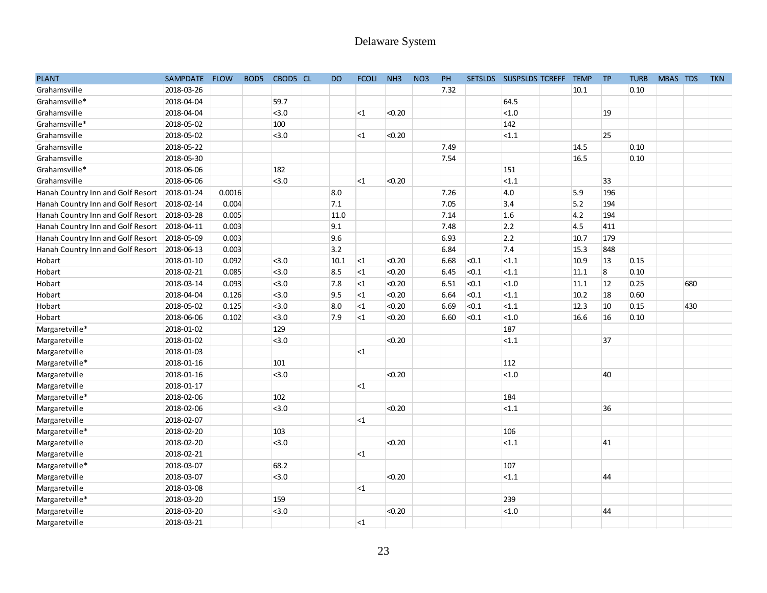|                                   |               |        |                  |          |           | Delaware System |                 |                 |      |       |                         |             |           |             |          |     |            |
|-----------------------------------|---------------|--------|------------------|----------|-----------|-----------------|-----------------|-----------------|------|-------|-------------------------|-------------|-----------|-------------|----------|-----|------------|
|                                   |               |        |                  |          |           |                 |                 |                 |      |       |                         |             |           |             |          |     |            |
|                                   |               |        |                  |          |           |                 |                 |                 |      |       |                         |             |           |             |          |     |            |
| <b>PLANT</b>                      | SAMPDATE FLOW |        | BOD <sub>5</sub> | CBOD5 CL | <b>DO</b> | <b>FCOLI</b>    | NH <sub>3</sub> | NO <sub>3</sub> | PH   |       | SETSLDS SUSPSLDS TCREFF | <b>TEMP</b> | <b>TP</b> | <b>TURB</b> | MBAS TDS |     | <b>TKN</b> |
| Grahamsville                      | 2018-03-26    |        |                  |          |           |                 |                 |                 | 7.32 |       |                         | 10.1        |           | 0.10        |          |     |            |
| Grahamsville*                     | 2018-04-04    |        |                  | 59.7     |           |                 |                 |                 |      |       | 64.5                    |             |           |             |          |     |            |
| Grahamsville                      | 2018-04-04    |        |                  | < 3.0    |           | $<$ 1           | < 0.20          |                 |      |       | <1.0                    |             | 19        |             |          |     |            |
| Grahamsville*                     | 2018-05-02    |        |                  | 100      |           |                 |                 |                 |      |       | 142                     |             |           |             |          |     |            |
| Grahamsville                      | 2018-05-02    |        |                  | < 3.0    |           | $<$ 1           | < 0.20          |                 |      |       | $ $ < 1.1               |             | 25        |             |          |     |            |
| Grahamsville                      | 2018-05-22    |        |                  |          |           |                 |                 |                 | 7.49 |       |                         | 14.5        |           | 0.10        |          |     |            |
| Grahamsville                      | 2018-05-30    |        |                  |          |           |                 |                 |                 | 7.54 |       |                         | 16.5        |           | 0.10        |          |     |            |
| Grahamsville*                     | 2018-06-06    |        |                  | 182      |           |                 |                 |                 |      |       | 151                     |             |           |             |          |     |            |
| Grahamsville                      | 2018-06-06    |        |                  | < 3.0    |           | $<$ 1           | < 0.20          |                 |      |       | <1.1                    |             | 33        |             |          |     |            |
| Hanah Country Inn and Golf Resort | 2018-01-24    | 0.0016 |                  |          | 8.0       |                 |                 |                 | 7.26 |       | 4.0                     | 5.9         | 196       |             |          |     |            |
| Hanah Country Inn and Golf Resort | 2018-02-14    | 0.004  |                  |          | 7.1       |                 |                 |                 | 7.05 |       | 3.4                     | 5.2         | 194       |             |          |     |            |
| Hanah Country Inn and Golf Resort | 2018-03-28    | 0.005  |                  |          | 11.0      |                 |                 |                 | 7.14 |       | 1.6                     | 4.2         | 194       |             |          |     |            |
| Hanah Country Inn and Golf Resort | 2018-04-11    | 0.003  |                  |          | 9.1       |                 |                 |                 | 7.48 |       | 2.2                     | 4.5         | 411       |             |          |     |            |
| Hanah Country Inn and Golf Resort | 2018-05-09    | 0.003  |                  |          | 9.6       |                 |                 |                 | 6.93 |       | 2.2                     | 10.7        | 179       |             |          |     |            |
| Hanah Country Inn and Golf Resort | 2018-06-13    | 0.003  |                  |          | 3.2       |                 |                 |                 | 6.84 |       | 7.4                     | 15.3        | 848       |             |          |     |            |
| Hobart                            | 2018-01-10    | 0.092  |                  | < 3.0    | 10.1      | ${<}1$          | < 0.20          |                 | 6.68 | < 0.1 | $ $ < 1.1               | 10.9        | 13        | 0.15        |          |     |            |
| Hobart                            | 2018-02-21    | 0.085  |                  | < 3.0    | 8.5       | $<1\,$          | < 0.20          |                 | 6.45 | < 0.1 | $ $ < 1.1               | 11.1        | 8         | 0.10        |          |     |            |
| Hobart                            | 2018-03-14    | 0.093  |                  | < 3.0    | 7.8       | $<1\,$          | < 0.20          |                 | 6.51 | < 0.1 | <1.0                    | 11.1        | 12        | 0.25        |          | 680 |            |
| Hobart                            | 2018-04-04    | 0.126  |                  | < 3.0    | 9.5       | $<$ 1           | < 0.20          |                 | 6.64 | < 0.1 | <1.1                    | 10.2        | 18        | 0.60        |          |     |            |
| Hobart                            | 2018-05-02    | 0.125  |                  | < 3.0    | 8.0       | $\leq$ 1        | < 0.20          |                 | 6.69 | < 0.1 | $ $ < 1.1               | 12.3        | 10        | 0.15        |          | 430 |            |
| Hobart                            | 2018-06-06    | 0.102  |                  | < 3.0    | 7.9       | $\leq$ 1        | < 0.20          |                 | 6.60 | < 0.1 | <1.0                    | 16.6        | 16        | 0.10        |          |     |            |
| Margaretville*                    | 2018-01-02    |        |                  | 129      |           |                 |                 |                 |      |       | 187                     |             |           |             |          |     |            |
| Margaretville                     | 2018-01-02    |        |                  | < 3.0    |           |                 | < 0.20          |                 |      |       | <sub>1.1</sub>          |             | 37        |             |          |     |            |
| Margaretville                     | 2018-01-03    |        |                  |          |           | $<$ 1           |                 |                 |      |       |                         |             |           |             |          |     |            |
| Margaretville*                    | 2018-01-16    |        |                  | 101      |           |                 |                 |                 |      |       | 112                     |             |           |             |          |     |            |
| Margaretville                     | 2018-01-16    |        |                  | < 3.0    |           |                 | < 0.20          |                 |      |       | <1.0                    |             | 40        |             |          |     |            |
| Margaretville                     | 2018-01-17    |        |                  |          |           | $\leq$ 1        |                 |                 |      |       |                         |             |           |             |          |     |            |
| Margaretville*                    | 2018-02-06    |        |                  | 102      |           |                 |                 |                 |      |       | 184                     |             |           |             |          |     |            |
| Margaretville                     | 2018-02-06    |        |                  | < 3.0    |           |                 | < 0.20          |                 |      |       | <1.1                    |             | 36        |             |          |     |            |
| Margaretville                     | 2018-02-07    |        |                  |          |           | $<$ 1           |                 |                 |      |       |                         |             |           |             |          |     |            |
| Margaretville*                    | 2018-02-20    |        |                  | 103      |           |                 |                 |                 |      |       | 106                     |             |           |             |          |     |            |
| Margaretville                     | 2018-02-20    |        |                  | < 3.0    |           |                 | < 0.20          |                 |      |       | <1.1                    |             | 41        |             |          |     |            |
| Margaretville                     | 2018-02-21    |        |                  |          |           | $\leq 1$        |                 |                 |      |       |                         |             |           |             |          |     |            |
| Margaretville*                    | 2018-03-07    |        |                  | 68.2     |           |                 |                 |                 |      |       | 107                     |             |           |             |          |     |            |
| Margaretville                     | 2018-03-07    |        |                  | < 3.0    |           |                 | < 0.20          |                 |      |       | <1.1                    |             | 44        |             |          |     |            |
| Margaretville                     | 2018-03-08    |        |                  |          |           | $\leq$ 1        |                 |                 |      |       |                         |             |           |             |          |     |            |
| Margaretville*                    | 2018-03-20    |        |                  | 159      |           |                 |                 |                 |      |       | 239                     |             |           |             |          |     |            |
| Margaretville                     | 2018-03-20    |        |                  | 3.0      |           |                 | < 0.20          |                 |      |       | <sub>1.0</sub>          |             | 44        |             |          |     |            |
| Margaretville                     | 2018-03-21    |        |                  |          |           | $\leq 1$        |                 |                 |      |       |                         |             |           |             |          |     |            |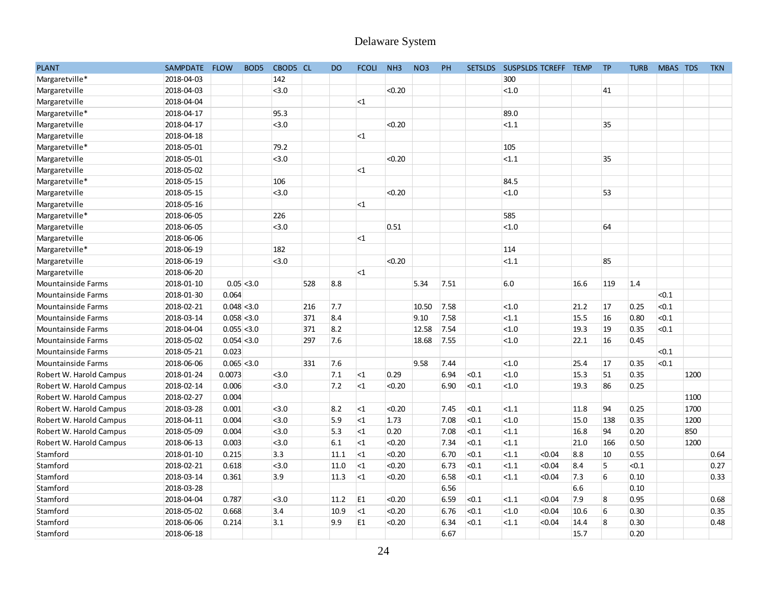|                           |               |               |                  |                |     |           | Delaware System |        |                 |      |           |       |                              |      |           |             |          |      |            |
|---------------------------|---------------|---------------|------------------|----------------|-----|-----------|-----------------|--------|-----------------|------|-----------|-------|------------------------------|------|-----------|-------------|----------|------|------------|
| <b>PLANT</b>              | SAMPDATE FLOW |               | BOD <sub>5</sub> | CBOD5 CL       |     | <b>DO</b> | <b>FCOLI</b>    | NH3    | NO <sub>3</sub> | PH   |           |       | SETSLDS SUSPSLDS TCREFF TEMP |      | <b>TP</b> | <b>TURB</b> | MBAS TDS |      | <b>TKN</b> |
| Margaretville*            | 2018-04-03    |               |                  | 142            |     |           |                 |        |                 |      |           | 300   |                              |      |           |             |          |      |            |
| Margaretville             | 2018-04-03    |               |                  | < 3.0          |     |           |                 | < 0.20 |                 |      |           | < 1.0 |                              |      | 41        |             |          |      |            |
| Margaretville             | 2018-04-04    |               |                  |                |     |           | $<$ 1           |        |                 |      |           |       |                              |      |           |             |          |      |            |
| Margaretville*            | 2018-04-17    |               |                  | 95.3           |     |           |                 |        |                 |      |           | 89.0  |                              |      |           |             |          |      |            |
| Margaretville             | 2018-04-17    |               |                  | < 3.0          |     |           |                 | < 0.20 |                 |      |           | < 1.1 |                              |      | 35        |             |          |      |            |
| Margaretville             | 2018-04-18    |               |                  |                |     |           | $<$ 1           |        |                 |      |           |       |                              |      |           |             |          |      |            |
| Margaretville*            | 2018-05-01    |               |                  | 79.2           |     |           |                 |        |                 |      |           | 105   |                              |      |           |             |          |      |            |
| Margaretville             | 2018-05-01    |               |                  | < 3.0          |     |           |                 | < 0.20 |                 |      |           | < 1.1 |                              |      | 35        |             |          |      |            |
| Margaretville             | 2018-05-02    |               |                  |                |     |           | $<$ 1           |        |                 |      |           |       |                              |      |           |             |          |      |            |
| Margaretville*            | 2018-05-15    |               |                  | 106            |     |           |                 |        |                 |      |           | 84.5  |                              |      |           |             |          |      |            |
| Margaretville             | 2018-05-15    |               |                  | < 3.0          |     |           |                 | < 0.20 |                 |      |           | < 1.0 |                              |      | 53        |             |          |      |            |
| Margaretville             | 2018-05-16    |               |                  |                |     |           | $<$ 1           |        |                 |      |           |       |                              |      |           |             |          |      |            |
| Margaretville*            | 2018-06-05    |               |                  | 226            |     |           |                 |        |                 |      |           | 585   |                              |      |           |             |          |      |            |
| Margaretville             | 2018-06-05    |               |                  | < 3.0          |     |           |                 | 0.51   |                 |      |           | < 1.0 |                              |      | 64        |             |          |      |            |
| Margaretville             | 2018-06-06    |               |                  |                |     |           | $<$ 1           |        |                 |      |           |       |                              |      |           |             |          |      |            |
| Margaretville*            | 2018-06-19    |               |                  | 182            |     |           |                 |        |                 |      |           | 114   |                              |      |           |             |          |      |            |
| Margaretville             | 2018-06-19    |               |                  | < 3.0          |     |           |                 | < 0.20 |                 |      |           | <1.1  |                              |      | 85        |             |          |      |            |
| Margaretville             | 2018-06-20    |               |                  |                |     |           | <1              |        |                 |      |           |       |                              |      |           |             |          |      |            |
| <b>Mountainside Farms</b> | 2018-01-10    | 0.05 < 3.0    |                  |                | 528 | 8.8       |                 |        | 5.34            | 7.51 |           | 6.0   |                              | 16.6 | 119       | 1.4         |          |      |            |
| <b>Mountainside Farms</b> | 2018-01-30    | 0.064         |                  |                |     |           |                 |        |                 |      |           |       |                              |      |           |             | < 0.1    |      |            |
| <b>Mountainside Farms</b> | 2018-02-21    | $0.048$ < 3.0 |                  |                | 216 | 7.7       |                 |        | 10.50           | 7.58 |           | < 1.0 |                              | 21.2 | 17        | 0.25        | < 0.1    |      |            |
| Mountainside Farms        | 2018-03-14    | 0.058 < 3.0   |                  |                | 371 | 8.4       |                 |        | 9.10            | 7.58 |           | <1.1  |                              | 15.5 | 16        | 0.80        | < 0.1    |      |            |
| Mountainside Farms        | 2018-04-04    | $0.055$ < 3.0 |                  |                | 371 | 8.2       |                 |        | 12.58           | 7.54 |           | < 1.0 |                              | 19.3 | 19        | 0.35        | < 0.1    |      |            |
| <b>Mountainside Farms</b> | 2018-05-02    | $0.054$ < 3.0 |                  |                | 297 | 7.6       |                 |        | 18.68           | 7.55 |           | < 1.0 |                              | 22.1 | 16        | 0.45        |          |      |            |
| <b>Mountainside Farms</b> | 2018-05-21    | 0.023         |                  |                |     |           |                 |        |                 |      |           |       |                              |      |           |             | < 0.1    |      |            |
| <b>Mountainside Farms</b> | 2018-06-06    | $0.065$ < 3.0 |                  |                | 331 | 7.6       |                 |        | 9.58            | 7.44 |           | < 1.0 |                              | 25.4 | 17        | 0.35        | < 0.1    |      |            |
| Robert W. Harold Campus   | 2018-01-24    | 0.0073        |                  | < 3.0          |     | 7.1       | $<$ 1           | 0.29   |                 | 6.94 | <0.1      | < 1.0 |                              | 15.3 | 51        | 0.35        |          | 1200 |            |
| Robert W. Harold Campus   | 2018-02-14    | 0.006         |                  | < 3.0          |     | 7.2       | $<$ 1           | < 0.20 |                 | 6.90 | <0.1      | < 1.0 |                              | 19.3 | 86        | 0.25        |          |      |            |
| Robert W. Harold Campus   | 2018-02-27    | 0.004         |                  |                |     |           |                 |        |                 |      |           |       |                              |      |           |             |          | 1100 |            |
| Robert W. Harold Campus   | 2018-03-28    | 0.001         |                  | < 3.0          |     | 8.2       | $<$ 1           | < 0.20 |                 | 7.45 | < 0.1     | < 1.1 |                              | 11.8 | 94        | 0.25        |          | 1700 |            |
| Robert W. Harold Campus   | 2018-04-11    | 0.004         |                  | < 3.0          |     | 5.9       | $<$ 1           | 1.73   |                 | 7.08 | < 0.1     | < 1.0 |                              | 15.0 | 138       | 0.35        |          | 1200 |            |
| Robert W. Harold Campus   | 2018-05-09    | 0.004         |                  | < 3.0          |     | 5.3       | ${<}1$          | 0.20   |                 | 7.08 | < 0.1     | <1.1  |                              | 16.8 | 94        | 0.20        |          | 850  |            |
| Robert W. Harold Campus   | 2018-06-13    | 0.003         |                  | < 3.0          |     | $6.1\,$   | $<1$            | < 0.20 |                 | 7.34 | < 0.1     | < 1.1 |                              | 21.0 | 166       | 0.50        |          | 1200 |            |
| Stamford                  | 2018-01-10    | 0.215         |                  | 3.3            |     | 11.1      | <sub>1</sub>    | < 0.20 |                 | 6.70 | < 0.1     | < 1.1 | < 0.04                       | 8.8  | 10        | 0.55        |          |      | 0.64       |
| Stamford                  | 2018-02-21    | 0.618         |                  | <sub>3.0</sub> |     | 11.0      | <sub>1</sub>    | < 0.20 |                 | 6.73 | < 0.1     | < 1.1 | < 0.04                       | 8.4  | 5         | < 0.1       |          |      | 0.27       |
| Stamford                  | 2018-03-14    | 0.361         |                  | 3.9            |     | 11.3      | <sub>1</sub>    | < 0.20 |                 | 6.58 | < 0.1     | < 1.1 | < 0.04                       | 7.3  | 6         | 0.10        |          |      | 0.33       |
| Stamford                  | 2018-03-28    |               |                  |                |     |           |                 |        |                 | 6.56 |           |       |                              | 6.6  |           | 0.10        |          |      |            |
| Stamford                  | 2018-04-04    | 0.787         |                  | < 3.0          |     | 11.2      | E <sub>1</sub>  | < 0.20 |                 | 6.59 | < 0.1     | <1.1  | < 0.04                       | 7.9  | 8         | 0.95        |          |      | 0.68       |
| Stamford                  | 2018-05-02    | 0.668         |                  | 3.4            |     | 10.9      | <sub>1</sub>    | < 0.20 |                 | 6.76 | $ $ < 0.1 | <1.0  | < 0.04                       | 10.6 | 6         | 0.30        |          |      | 0.35       |
| Stamford                  | 2018-06-06    | 0.214         |                  | 3.1            |     | 9.9       | E <sub>1</sub>  | < 0.20 |                 | 6.34 | < 0.1     | <1.1  | < 0.04                       | 14.4 | 8         | 0.30        |          |      | 0.48       |
| Stamford                  | 2018-06-18    |               |                  |                |     |           |                 |        |                 | 6.67 |           |       |                              | 15.7 |           | 0.20        |          |      |            |
|                           |               |               |                  |                |     |           |                 |        |                 |      |           |       |                              |      |           |             |          |      |            |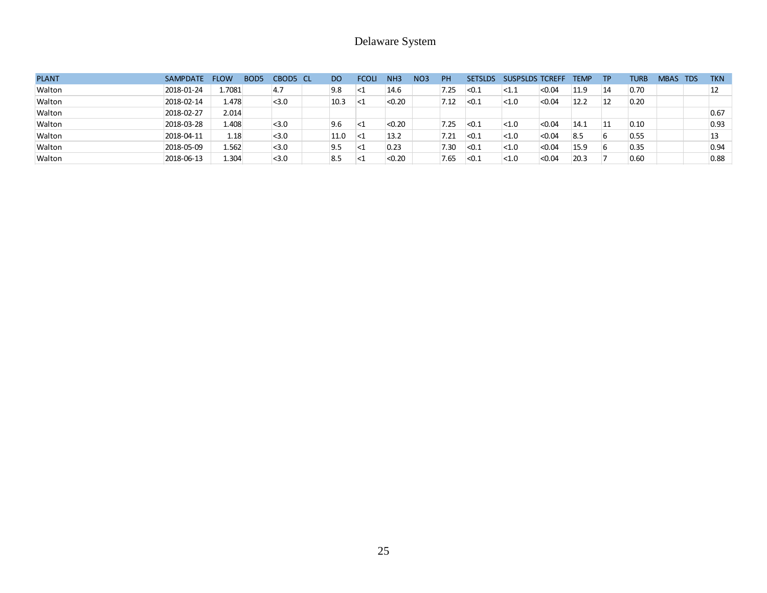|              |            |             |                  |          |           | Delaware System |                 |                 |           |                |                        |        |             |           |             |          |            |
|--------------|------------|-------------|------------------|----------|-----------|-----------------|-----------------|-----------------|-----------|----------------|------------------------|--------|-------------|-----------|-------------|----------|------------|
| <b>PLANT</b> | SAMPDATE   | <b>FLOW</b> | BOD <sub>5</sub> | CBOD5 CL | <b>DO</b> | <b>FCOLI</b>    | NH <sub>3</sub> | NO <sub>3</sub> | <b>PH</b> | <b>SETSLDS</b> | <b>SUSPSLDS TCREFF</b> |        | <b>TEMP</b> | <b>TP</b> | <b>TURB</b> | MBAS TDS | <b>TKN</b> |
| Walton       | 2018-01-24 | 1.7081      |                  | 4.7      | 9.8       | $\leq$ 1        | 14.6            |                 | 7.25      | < 0.1          | <1.1                   | < 0.04 | 11.9        | 14        | 0.70        |          | 12         |
| Walton       | 2018-02-14 | 1.478       |                  | < 3.0    | 10.3      | ∣<1             | < 0.20          |                 | 7.12      | < 0.1          | < 1.0                  | < 0.04 | 12.2        | 12        | 0.20        |          |            |
| Walton       | 2018-02-27 | 2.014       |                  |          |           |                 |                 |                 |           |                |                        |        |             |           |             |          | 0.67       |
| Walton       | 2018-03-28 | 1.408       |                  | < 3.0    | 9.6       | <               | < 0.20          |                 | 7.25      | < 0.1          | < 1.0                  | < 0.04 | 14.1        | 11        | 0.10        |          | 0.93       |
| Walton       | 2018-04-11 | 1.18        |                  | < 3.0    | 11.0      | <1              | 13.2            |                 | 7.21      | <sub>0.1</sub> | < 1.0                  | < 0.04 | 8.5         | 6         | 0.55        |          | 13         |
| Walton       | 2018-05-09 | 1.562       |                  | < 3.0    | 9.5       | $<$ 1           | 0.23            |                 | 7.30      | < 0.1          | < 1.0                  | < 0.04 | 15.9        | 6         | 0.35        |          | 0.94       |
| Walton       | 2018-06-13 | 1.304       |                  | < 3.0    | 8.5       | ${<}1$          | < 0.20          |                 | 7.65      | <sub>0.1</sub> | < 1.0                  | < 0.04 | 20.3        |           | 0.60        |          | 0.88       |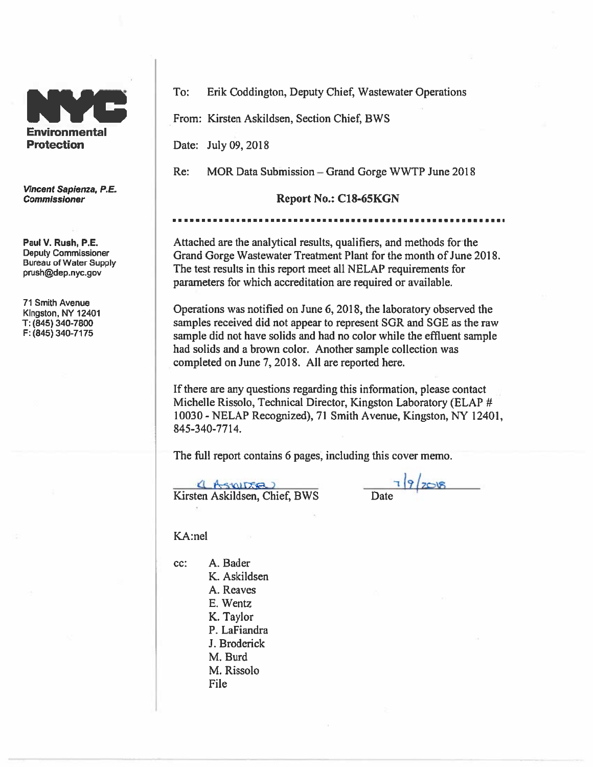

Vincent Sapienza, P.E. **Commissioner** 

Paul V. Rush, P.E. **Deputy Commissioner Bureau of Water Supply** prush@dep.nyc.gov

**71 Smith Avenue** Kingston, NY 12401 T: (845) 340-7800 F: (845) 340-7175

To: Erik Coddington, Deputy Chief, Wastewater Operations

From: Kirsten Askildsen, Section Chief, BWS

Date: July 09, 2018

MOR Data Submission – Grand Gorge WWTP June 2018  $Re:$ 

#### Report No.: C18-65KGN

Attached are the analytical results, qualifiers, and methods for the Grand Gorge Wastewater Treatment Plant for the month of June 2018. The test results in this report meet all NELAP requirements for parameters for which accreditation are required or available.

Operations was notified on June 6, 2018, the laboratory observed the samples received did not appear to represent SGR and SGE as the raw sample did not have solids and had no color while the effluent sample had solids and a brown color. Another sample collection was completed on June 7, 2018. All are reported here.

If there are any questions regarding this information, please contact Michelle Rissolo, Technical Director, Kingston Laboratory (ELAP # 10030 - NELAP Recognized), 71 Smith Avenue, Kingston, NY 12401, 845-340-7714.

The full report contains 6 pages, including this cover memo.

(Astrona) Kirsten Askildsen, Chief, BWS

 $7|9|208$ Date

KA:nel

cc:

A. Bader K. Askildsen A. Reaves E. Wentz K. Taylor P. LaFiandra J. Broderick M. Burd M. Rissolo **File**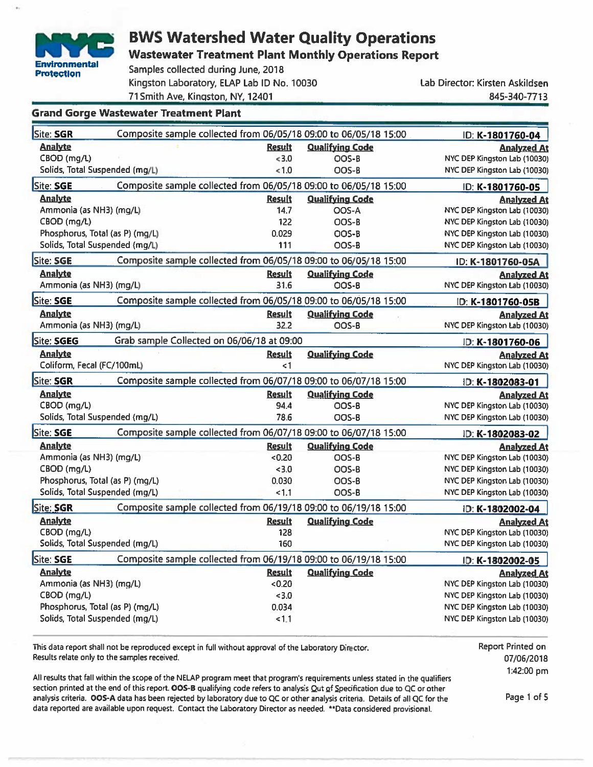

**Wastewater Treatment Plant Monthly Operations Report** 

Samples collected during June, 2018 Kingston Laboratory, ELAP Lab ID No. 10030 71 Smith Ave, Kingston, NY, 12401

Lab Director: Kirsten Askildsen 845-340-7713

#### **Grand Gorge Wastewater Treatment Plant**

| Site: SGR                       | Composite sample collected from 06/05/18 09:00 to 06/05/18 15:00 |                        | ID: K-1801760-04             |
|---------------------------------|------------------------------------------------------------------|------------------------|------------------------------|
| <b>Analyte</b>                  | <b>Result</b>                                                    | <b>Qualifving Code</b> | <u>Analyzed At</u>           |
| CBOD (mg/L)                     | < 3.0                                                            | OOS-B                  | NYC DEP Kingston Lab (10030) |
| Solids, Total Suspended (mg/L)  | < 1.0                                                            | OOS-B                  | NYC DEP Kingston Lab (10030) |
| Site: SGE                       | Composite sample collected from 06/05/18 09:00 to 06/05/18 15:00 |                        | ID: K-1801760-05             |
| <b>Analyte</b>                  | <b>Result</b>                                                    | <b>Qualifving Code</b> | <b>Analyzed At</b>           |
| Ammonia (as NH3) (mg/L)         | 14.7                                                             | OOS-A                  | NYC DEP Kingston Lab (10030) |
| CBOD (mg/L)                     | 122                                                              | OOS-B                  | NYC DEP Kingston Lab (10030) |
| Phosphorus, Total (as P) (mg/L) | 0.029                                                            | OOS-B                  | NYC DEP Kingston Lab (10030) |
| Solids, Total Suspended (mg/L)  | 111                                                              | OOS-B                  | NYC DEP Kingston Lab (10030) |
| Site: SGE                       | Composite sample collected from 06/05/18 09:00 to 06/05/18 15:00 |                        | ID: K-1801760-05A            |
| <b>Analyte</b>                  | <b>Result</b>                                                    | <b>Qualifying Code</b> | <b>Analyzed At</b>           |
| Ammonia (as NH3) (mg/L)         | 31.6                                                             | OOS-B                  | NYC DEP Kingston Lab (10030) |
| Site: SGE                       | Composite sample collected from 06/05/18 09:00 to 06/05/18 15:00 |                        | ID: K-1801760-05B            |
| <b>Analyte</b>                  | <b>Result</b>                                                    | <b>Qualifying Code</b> | <b>Analyzed At</b>           |
| Ammonia (as NH3) (mg/L)         | 32.2                                                             | OOS-B                  | NYC DEP Kingston Lab (10030) |
| Site: SGEG                      | Grab sample Collected on 06/06/18 at 09:00                       |                        | ID: K-1801760-06             |
| <b>Analyte</b>                  | <b>Result</b>                                                    | <b>Qualifying Code</b> | <b>Analyzed At</b>           |
| Coliform, Fecal (FC/100mL)      | $\leq$ 1                                                         |                        | NYC DEP Kingston Lab (10030) |
| Site: SGR                       | Composite sample collected from 06/07/18 09:00 to 06/07/18 15:00 |                        | ID: K-1802083-01             |
| <b>Analyte</b>                  | <b>Result</b>                                                    | <b>Qualifying Code</b> | <b>Analyzed At</b>           |
| CBOD (mg/L)                     | 94.4                                                             | OOS-B                  | NYC DEP Kingston Lab (10030) |
| Solids, Total Suspended (mg/L)  | 78.6                                                             | OOS-B                  | NYC DEP Kingston Lab (10030) |
| Site: SGE                       | Composite sample collected from 06/07/18 09:00 to 06/07/18 15:00 |                        | ID: K-1802083-02             |
| <u>Analyte</u>                  | <b>Result</b>                                                    | <b>Qualifving Code</b> | <b>Analyzed At</b>           |
| Ammonia (as NH3) (mg/L)         | <0.20                                                            | OOS-B                  | NYC DEP Kingston Lab (10030) |
| CBOD (mg/L)                     | < 3.0                                                            | OOS-B                  | NYC DEP Kingston Lab (10030) |
| Phosphorus, Total (as P) (mg/L) | 0.030                                                            | OOS-B                  | NYC DEP Kingston Lab (10030) |
| Solids, Total Suspended (mg/L)  | < 1.1                                                            | OOS-B                  | NYC DEP Kingston Lab (10030) |
| Site: SGR                       | Composite sample collected from 06/19/18 09:00 to 06/19/18 15:00 |                        | ID: K-1802002-04             |
| <b>Analyte</b>                  | <b>Result</b>                                                    | <b>Qualifying Code</b> | <b>Analyzed At</b>           |
| CBOD (mg/L)                     | 128                                                              |                        | NYC DEP Kingston Lab (10030) |
| Solids, Total Suspended (mg/L)  | 160                                                              |                        | NYC DEP Kingston Lab (10030) |
| Site: SGE                       | Composite sample collected from 06/19/18 09:00 to 06/19/18 15:00 |                        | ID: K-1802002-05             |
| <b>Analyte</b>                  | <b>Result</b>                                                    | <b>Qualifying Code</b> | <b>Analyzed At</b>           |
| Ammonia (as NH3) (mg/L)         | <0.20                                                            |                        | NYC DEP Kingston Lab (10030) |
| CBOD (mg/L)                     | < 3.0                                                            |                        | NYC DEP Kingston Lab (10030) |
| Phosphorus, Total (as P) (mg/L) | 0.034                                                            |                        | NYC DEP Kingston Lab (10030) |
| Solids, Total Suspended (mg/L)  | 1.1                                                              |                        | NYC DEP Kingston Lab (10030) |
|                                 |                                                                  |                        |                              |

This data report shall not be reproduced except in full without approval of the Laboratory Director. Results relate only to the samples received.

All results that fall within the scope of the NELAP program meet that program's requirements unless stated in the qualifiers section printed at the end of this report. OOS-B qualifying code refers to analysis Out of Specification due to QC or other analysis criteria. OOS-A data has been rejected by laboratory due to QC or other analysis criteria. Details of all QC for the data reported are available upon request. Contact the Laboratory Director as needed. \*\*Data considered provisional.

Report Printed on 07/06/2018 1:42:00 pm

Page 1 of 5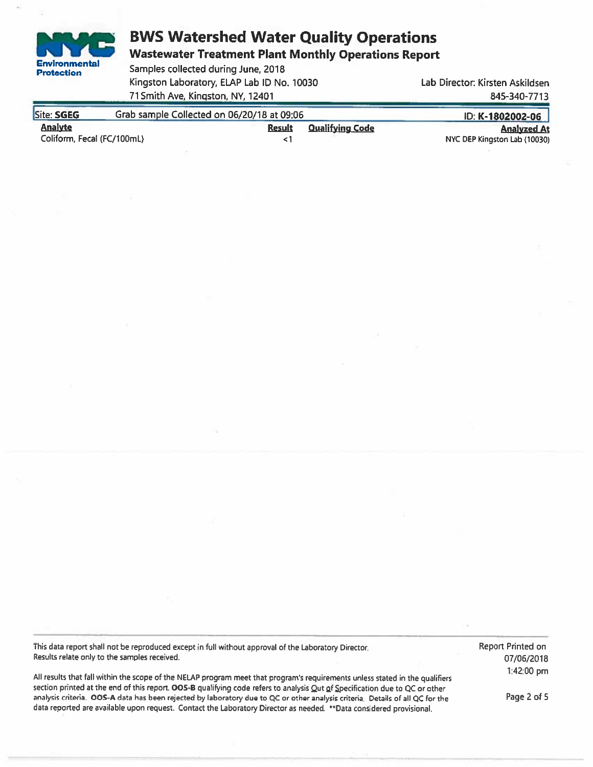**Wastewater Treatment Plant Monthly Operations Report** 

Samples collected during June, 2018 Kingston Laboratory, ELAP Lab ID No. 10030 71 Smith Ave, Kingston, NY, 12401

**Environmental** 

**Protection** 

Lab Director: Kirsten Askildsen 845-340-7713

| Site: SGEG                 | Grab sample Collected on 06/20/18 at 09:06 | ID: K-1802002-06 |                        |                              |
|----------------------------|--------------------------------------------|------------------|------------------------|------------------------------|
| <b>Analyte</b>             |                                            | <b>Result</b>    | <b>Qualifving Code</b> | <b>Analyzed At</b>           |
| Coliform, Fecal (FC/100mL) |                                            |                  |                        | NYC DEP Kingston Lab (10030) |

This data report shall not be reproduced except in full without approval of the Laboratory Director. Results relate only to the samples received.

All results that fall within the scope of the NELAP program meet that program's requirements unless stated in the qualifiers section printed at the end of this report. OOS-B qualifying code refers to analysis Qut of Specification due to QC or other analysis criteria. OOS-A data has been rejected by laboratory due to QC or other analysis criteria. Details of all QC for the data reported are available upon request. Contact the Laboratory Director as needed. \*\*Data considered provisional.

Report Printed on 07/06/2018 1:42:00 pm

Page 2 of 5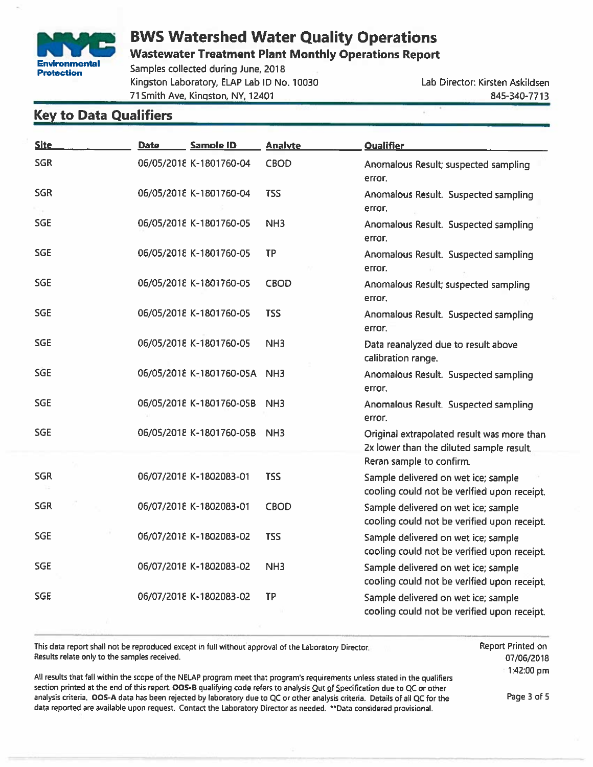

**Wastewater Treatment Plant Monthly Operations Report** 

Samples collected during June, 2018 Kingston Laboratory, ELAP Lab ID No. 10030 71 Smith Ave, Kingston, NY, 12401

Lab Director: Kirsten Askildsen 845-340-7713

### **Key to Data Qualifiers**

| <b>Site</b> | Date | Sample ID                    | <b>Analyte</b>  | <b>Qualifier</b>                                                                       |
|-------------|------|------------------------------|-----------------|----------------------------------------------------------------------------------------|
| <b>SGR</b>  |      | 06/05/2018 K-1801760-04      | <b>CBOD</b>     | Anomalous Result; suspected sampling<br>error.                                         |
| <b>SGR</b>  |      | 06/05/2018 K-1801760-04      | <b>TSS</b>      | Anomalous Result. Suspected sampling<br>error.                                         |
| <b>SGE</b>  |      | 06/05/2018 K-1801760-05      | NH <sub>3</sub> | Anomalous Result. Suspected sampling<br>error.                                         |
| <b>SGE</b>  |      | 06/05/2018 K-1801760-05      | <b>TP</b>       | Anomalous Result. Suspected sampling<br>error.                                         |
| <b>SGE</b>  |      | 06/05/2018 K-1801760-05      | <b>CBOD</b>     | Anomalous Result; suspected sampling<br>error.                                         |
| <b>SGE</b>  |      | 06/05/2018 K-1801760-05      | <b>TSS</b>      | Anomalous Result. Suspected sampling<br>error.                                         |
| <b>SGE</b>  |      | 06/05/2018 K-1801760-05      | NH <sub>3</sub> | Data reanalyzed due to result above<br>calibration range.                              |
| <b>SGE</b>  |      | 06/05/2018 K-1801760-05A NH3 |                 | Anomalous Result. Suspected sampling<br>error.                                         |
| <b>SGE</b>  |      | 06/05/2018 K-1801760-05B     | NH <sub>3</sub> | Anomalous Result. Suspected sampling<br>error.                                         |
| <b>SGE</b>  |      | 06/05/2018 K-1801760-05B     | NH <sub>3</sub> | Original extrapolated result was more than<br>2x lower than the diluted sample result. |
|             |      |                              |                 | Reran sample to confirm.                                                               |
| <b>SGR</b>  |      | 06/07/2018 K-1802083-01      | <b>TSS</b>      | Sample delivered on wet ice; sample<br>cooling could not be verified upon receipt.     |
| <b>SGR</b>  |      | 06/07/2018 K-1802083-01      | <b>CBOD</b>     | Sample delivered on wet ice; sample<br>cooling could not be verified upon receipt.     |
| <b>SGE</b>  |      | 06/07/2018 K-1802083-02      | <b>TSS</b>      | Sample delivered on wet ice; sample<br>cooling could not be verified upon receipt.     |
| <b>SGE</b>  |      | 06/07/2018 K-1802083-02      | NH <sub>3</sub> | Sample delivered on wet ice; sample<br>cooling could not be verified upon receipt.     |
| <b>SGE</b>  |      | 06/07/2018 K-1802083-02      | <b>TP</b>       | Sample delivered on wet ice; sample<br>cooling could not be verified upon receipt.     |

This data report shall not be reproduced except in full without approval of the Laboratory Director. Results relate only to the samples received.

**Report Printed on** 07/06/2018 1:42:00 pm

All results that fall within the scope of the NELAP program meet that program's requirements unless stated in the qualifiers section printed at the end of this report. OOS-B qualifying code refers to analysis Qut of Specification due to QC or other analysis criteria. OOS-A data has been rejected by laboratory due to QC or other analysis criteria. Details of all QC for the data reported are available upon request. Contact the Laboratory Director as needed. \*\*Data considered provisional.

Page 3 of 5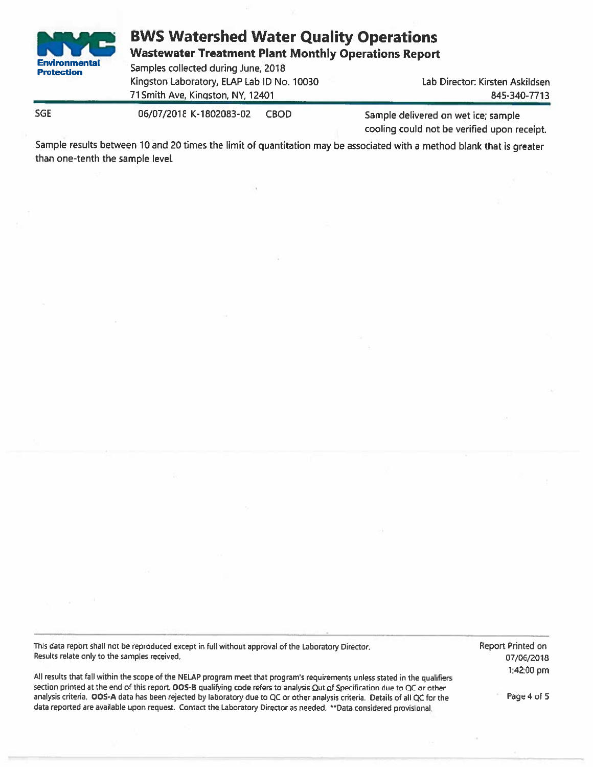

**Wastewater Treatment Plant Monthly Operations Report** 

Samples collected during June, 2018 Kingston Laboratory, ELAP Lab ID No. 10030 71 Smith Ave, Kingston, NY, 12401

Lab Director: Kirsten Askildsen 845-340-7713

**SGE** 

06/07/2018 K-1802083-02 **CBOD** 

Sample delivered on wet ice; sample cooling could not be verified upon receipt.

Sample results between 10 and 20 times the limit of quantitation may be associated with a method blank that is greater than one-tenth the sample level.

This data report shall not be reproduced except in full without approval of the Laboratory Director. Results relate only to the samples received.

All results that fall within the scope of the NELAP program meet that program's requirements unless stated in the qualifiers section printed at the end of this report. OOS-B qualifying code refers to analysis Qut of Specification due to QC or other analysis criteria. OOS-A data has been rejected by laboratory due to QC or other analysis criteria. Details of all QC for the data reported are available upon request. Contact the Laboratory Director as needed. \*\* Data considered provisional.

Report Printed on 07/06/2018 1:42:00 pm

Page 4 of 5